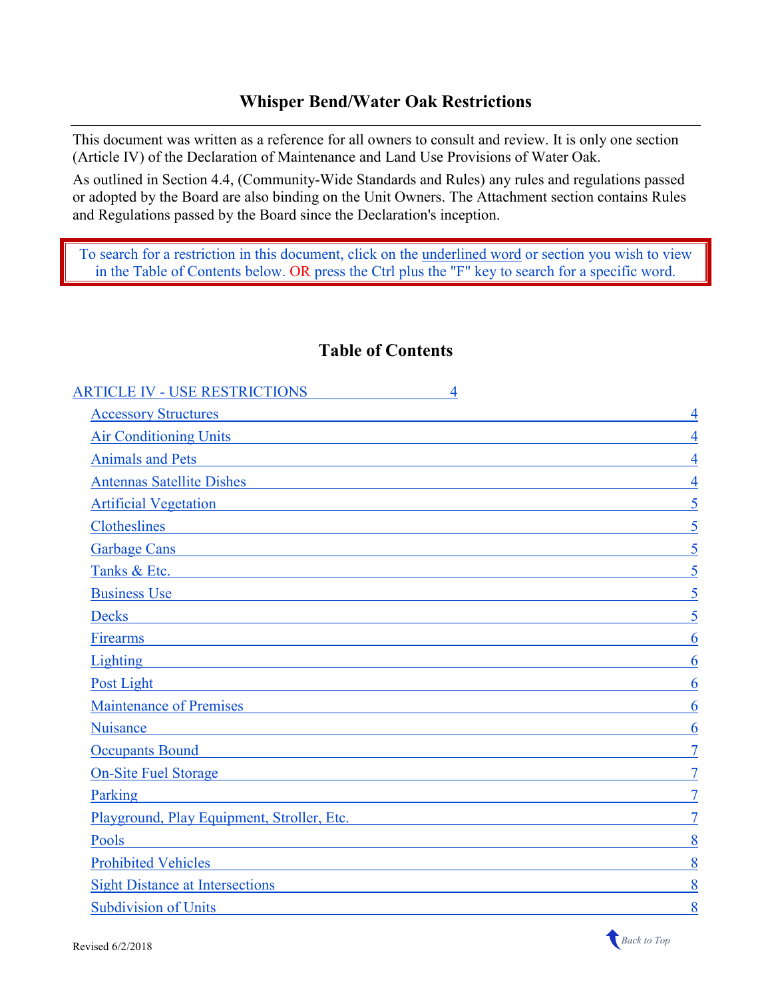### **Whisper Bend/Water Oak Restrictions**

This document was written as a reference for all owners to consult and review. It is only one section (Article IV) of the Declaration of Maintenance and Land Use Provisions of Water Oak.

As outlined in Section 4.4, (Community-Wide Standards and Rules) any rules and regulations passed or adopted by the Board are also binding on the Unit Owners. The Attachment section contains Rules and Regulations passed by the Board since the Declaration's inception.

To search for a restriction in this document, click on the underlined word or section you wish to view in the Table of Contents below. OR press the Ctrl plus the "F" key to search for a specific word.

### <span id="page-0-0"></span>**Table of Contents**

| Air Conditioning Units                                                                                                |
|-----------------------------------------------------------------------------------------------------------------------|
| $\overline{4}$                                                                                                        |
| 4<br>Antennas Satellite Dishes and the Satellite Dishes                                                               |
| 5<br><u> 1980 - Johann Stoff, fransk politik (d. 1980)</u>                                                            |
|                                                                                                                       |
|                                                                                                                       |
|                                                                                                                       |
| 5                                                                                                                     |
|                                                                                                                       |
| 6                                                                                                                     |
| 6                                                                                                                     |
| 6                                                                                                                     |
| Maintenance of Premises <b>Maintenance</b> of Premises<br>6                                                           |
| 6                                                                                                                     |
|                                                                                                                       |
| <u> 1989 - Johann Stoff, deutscher Stoffen und der Stoffen und der Stoffen und der Stoffen und der Stoffen und de</u> |
|                                                                                                                       |
| Playground, Play Equipment, Stroller, Etc.                                                                            |
| 8                                                                                                                     |
| 8<br><u> 1980 - Johann Barn, amerikan berkeman (h. 1980)</u>                                                          |
| 8<br><u> 1986 - Johann Stein, mars an deus Amerikaansk kommunister (</u>                                              |
| 8                                                                                                                     |
|                                                                                                                       |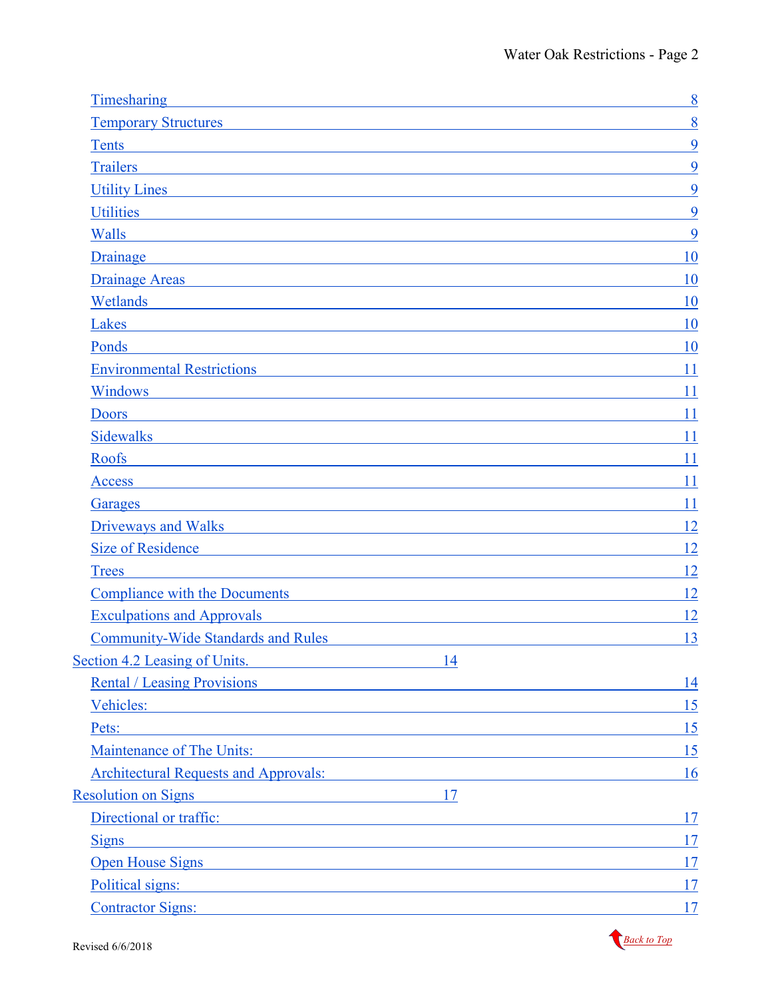| Timesharing                                                                                                                                                                                                                        | 8  |
|------------------------------------------------------------------------------------------------------------------------------------------------------------------------------------------------------------------------------------|----|
| <b>Temporary Structures</b>                                                                                                                                                                                                        | 8  |
| Tents                                                                                                                                                                                                                              | 9  |
| <b>Trailers</b>                                                                                                                                                                                                                    | 9  |
| Utility Lines <b>Utility</b> Lines                                                                                                                                                                                                 | 9  |
| <b>Utilities</b>                                                                                                                                                                                                                   | 9  |
| Walls<br><u> 1989 - Johann Stein, mars an deutscher Stein († 1958)</u>                                                                                                                                                             | 9  |
| Drainage                                                                                                                                                                                                                           | 10 |
| Drainage Areas <b>Drainage Areas</b>                                                                                                                                                                                               | 10 |
| Wetlands                                                                                                                                                                                                                           | 10 |
| Lakes                                                                                                                                                                                                                              | 10 |
| Ponds                                                                                                                                                                                                                              | 10 |
| <b>Environmental Restrictions</b>                                                                                                                                                                                                  | 11 |
| Windows                                                                                                                                                                                                                            | 11 |
| <b>Doors</b>                                                                                                                                                                                                                       | 11 |
| <b>Sidewalks</b>                                                                                                                                                                                                                   | 11 |
| Roofs                                                                                                                                                                                                                              | 11 |
| <b>Access</b>                                                                                                                                                                                                                      | 11 |
| Garages<br><u> 1980 - Johann Stoff, deutscher Stoff, der Stoff, der Stoff, der Stoff, der Stoff, der Stoff, der Stoff, der S</u>                                                                                                   | 11 |
| Driveways and Walks <b>Driveways</b> and Walks <b>Show and Walks</b>                                                                                                                                                               | 12 |
| Size of Residence                                                                                                                                                                                                                  | 12 |
| <b>Trees</b><br><u> 1989 - Johann Barn, amerikansk politiker (d. 1989)</u>                                                                                                                                                         | 12 |
| <u>Compliance with the Documents</u>                                                                                                                                                                                               | 12 |
| <b>Exculpations and Approvals</b><br><u> 1980 - Jan Samuel Barbara, martin da shekara 1980 - An tsara 1980 - An tsara 1980 - An tsara 1980 - An tsara </u>                                                                         | 12 |
| <b>Community-Wide Standards and Rules</b>                                                                                                                                                                                          | 13 |
| Section 4.2 Leasing of Units.<br>14<br><u> 1980 - Johann Barnett, fransk politiker (</u>                                                                                                                                           |    |
| <b>Rental / Leasing Provisions</b>                                                                                                                                                                                                 | 14 |
| Vehicles:<br><u> 1989 - Johann Barn, mars eta bainar eta bainar eta baina eta baina eta baina eta baina eta baina eta baina e</u>                                                                                                  | 15 |
| Pets:<br><u> 1989 - Johann Stein, marwolaethau a bhann an t-Albann an t-Albann an t-Albann an t-Albann an t-Albann an t-Al</u>                                                                                                     | 15 |
| <b>Maintenance of The Units:</b><br><u> 1980 - Johann Barbara, martxa alemaniar amerikan a</u>                                                                                                                                     | 15 |
| <b>Architectural Requests and Approvals:</b>                                                                                                                                                                                       | 16 |
| <b>Resolution on Signs</b><br>17<br><u> 1989 - Johann Barn, mars eta bainar eta industrial eta bainarra (h. 1989).</u>                                                                                                             |    |
| Directional or traffic:                                                                                                                                                                                                            | 17 |
| Signs<br><u> 1989 - Johann Stein, mars an de Frankrik (f. 1989)</u>                                                                                                                                                                | 17 |
| Open House Signs <b>Security</b> Contact the Second Second Second Second Second Second Second Second Second Second Second Second Second Second Second Second Second Second Second Second Second Second Second Second Second Second | 17 |
| Political signs:                                                                                                                                                                                                                   | 17 |
| <b>Contractor Signs:</b>                                                                                                                                                                                                           | 17 |
|                                                                                                                                                                                                                                    |    |

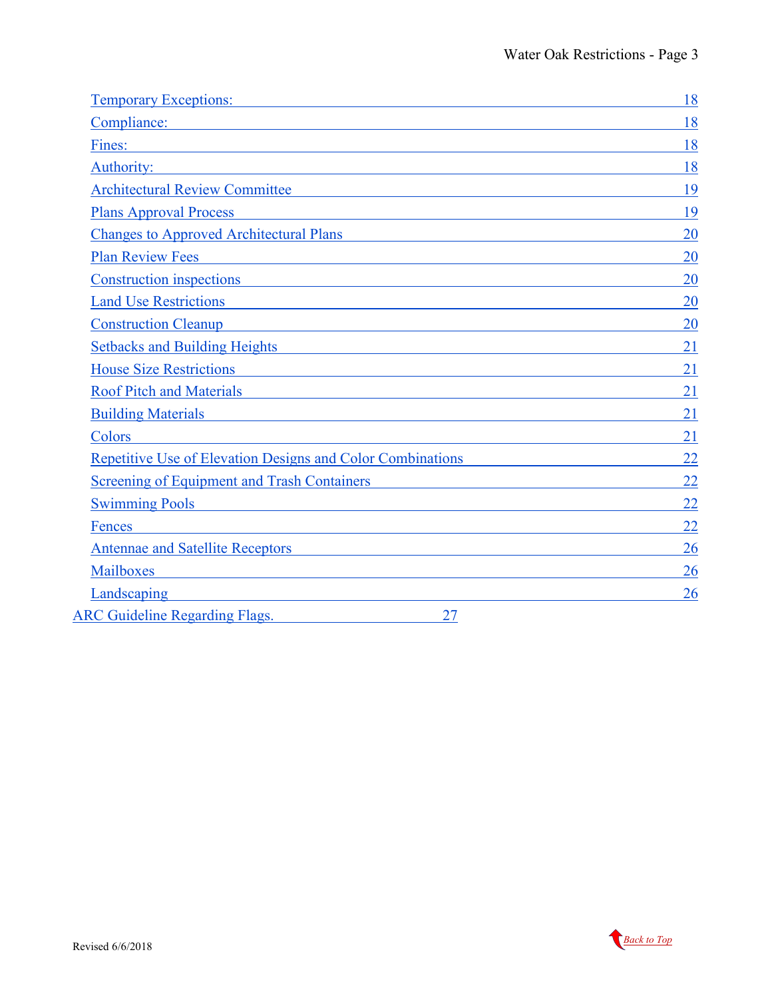| <b>Temporary Exceptions:</b>                                                                                                                                                                                                                                                    | 18 |
|---------------------------------------------------------------------------------------------------------------------------------------------------------------------------------------------------------------------------------------------------------------------------------|----|
| Compliance: Compliance:                                                                                                                                                                                                                                                         | 18 |
| Fines:<br><u> 1989 - Johann Stein, fransk politik (f. 1989)</u>                                                                                                                                                                                                                 | 18 |
| Authority:<br><u> 1980 - Andrea Andrew Maria (h. 1980).</u>                                                                                                                                                                                                                     | 18 |
| <b>Architectural Review Committee</b><br><u> 1980 - John Stein, Amerikaansk politiker (* 1950)</u>                                                                                                                                                                              | 19 |
| <b>Plans Approval Process</b>                                                                                                                                                                                                                                                   | 19 |
| <b>Changes to Approved Architectural Plans</b>                                                                                                                                                                                                                                  | 20 |
| <b>Plan Review Fees</b><br><u> 1980 - Johann Stoff, fransk politik (* 1950)</u>                                                                                                                                                                                                 | 20 |
| Construction inspections experience of the state of the state of the state of the state of the state of the state of the state of the state of the state of the state of the state of the state of the state of the state of t                                                  | 20 |
| Land Use Restrictions Contact Contact Contact Contact Contact Contact Contact Contact Contact Contact Contact Contact Contact Contact Contact Contact Contact Contact Contact Contact Contact Contact Contact Contact Contact                                                   | 20 |
| <b>Construction Cleanup</b><br><u> 1989 - Johann Barn, mars ar breithinn ar chuid ann an t-Alban ann an t-Alban ann an t-Alban ann an t-Alban a</u>                                                                                                                             | 20 |
| Setbacks and Building Heights <b>Setbacks</b> and Building Heights <b>Setbacks</b> and Building Heights <b>Setbacks</b> and <b>Building</b> Heights <b>Setbacks</b> and <b>Building</b> Heights <b>Setbacks</b> and <b>Setbacks</b> and <b>Setbacks</b> and <b>Setbacks</b> and | 21 |
| <b>House Size Restrictions</b><br><u> 1988 - Johann Stein, fransk politik (d. 1988)</u>                                                                                                                                                                                         | 21 |
| <b>Roof Pitch and Materials</b><br><u> 1989 - Johann Stoff, deutscher Stoffen und der Stoffen und der Stoffen und der Stoffen und der Stoffen und de</u>                                                                                                                        | 21 |
| <b>Building Materials</b><br><u> 1989 - Johann Stoff, amerikansk politiker (d. 1989)</u>                                                                                                                                                                                        | 21 |
| Colors                                                                                                                                                                                                                                                                          | 21 |
| <b>Repetitive Use of Elevation Designs and Color Combinations</b>                                                                                                                                                                                                               | 22 |
| <b>Screening of Equipment and Trash Containers</b><br><u> 1989 - Johann Barbara, martxa amerikan personal (h. 1989).</u>                                                                                                                                                        | 22 |
| <b>Swimming Pools</b><br>and the control of the control of the control of the control of the control of the control of the control of the                                                                                                                                       | 22 |
| Fences<br><u> 1989 - John Stein, markin film yn y brenin y brenin y brenin y brenin y brenin y brenin y brenin y brenin y</u>                                                                                                                                                   | 22 |
| Antennae and Satellite Receptors and Satellite Receptors                                                                                                                                                                                                                        | 26 |
| Mailboxes<br><u> 1989 - Andrea Stadt, fransk politik (d. 1989)</u>                                                                                                                                                                                                              | 26 |
| Landscaping                                                                                                                                                                                                                                                                     | 26 |
| <b>ARC Guideline Regarding Flags.</b><br>27                                                                                                                                                                                                                                     |    |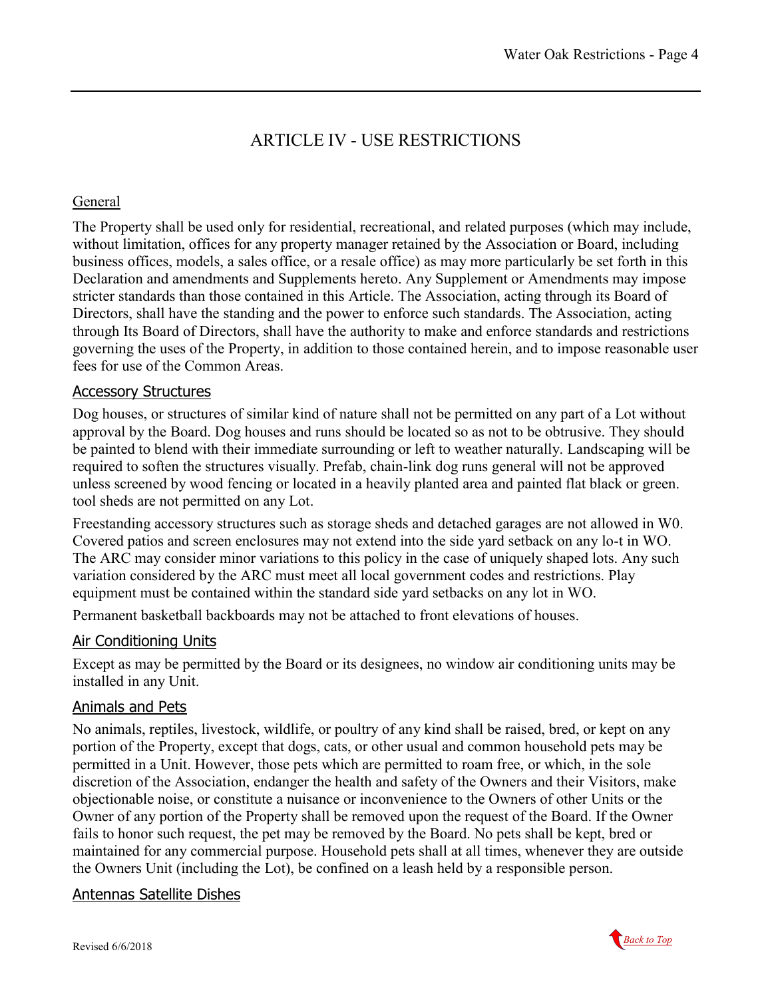# ARTICLE IV - USE RESTRICTIONS

#### <span id="page-3-0"></span>General

The Property shall be used only for residential, recreational, and related purposes (which may include, without limitation, offices for any property manager retained by the Association or Board, including business offices, models, a sales office, or a resale office) as may more particularly be set forth in this Declaration and amendments and Supplements hereto. Any Supplement or Amendments may impose stricter standards than those contained in this Article. The Association, acting through its Board of Directors, shall have the standing and the power to enforce such standards. The Association, acting through Its Board of Directors, shall have the authority to make and enforce standards and restrictions governing the uses of the Property, in addition to those contained herein, and to impose reasonable user fees for use of the Common Areas.

### <span id="page-3-1"></span>Accessory Structures

Dog houses, or structures of similar kind of nature shall not be permitted on any part of a Lot without approval by the Board. Dog houses and runs should be located so as not to be obtrusive. They should be painted to blend with their immediate surrounding or left to weather naturally. Landscaping will be required to soften the structures visually. Prefab, chain-link dog runs general will not be approved unless screened by wood fencing or located in a heavily planted area and painted flat black or green. tool sheds are not permitted on any Lot.

Freestanding accessory structures such as storage sheds and detached garages are not allowed in W0. Covered patios and screen enclosures may not extend into the side yard setback on any lo-t in WO. The ARC may consider minor variations to this policy in the case of uniquely shaped lots. Any such variation considered by the ARC must meet all local government codes and restrictions. Play equipment must be contained within the standard side yard setbacks on any lot in WO.

Permanent basketball backboards may not be attached to front elevations of houses.

#### <span id="page-3-2"></span>Air Conditioning Units

Except as may be permitted by the Board or its designees, no window air conditioning units may be installed in any Unit.

#### <span id="page-3-3"></span>Animals and Pets

No animals, reptiles, livestock, wildlife, or poultry of any kind shall be raised, bred, or kept on any portion of the Property, except that dogs, cats, or other usual and common household pets may be permitted in a Unit. However, those pets which are permitted to roam free, or which, in the sole discretion of the Association, endanger the health and safety of the Owners and their Visitors, make objectionable noise, or constitute a nuisance or inconvenience to the Owners of other Units or the Owner of any portion of the Property shall be removed upon the request of the Board. If the Owner fails to honor such request, the pet may be removed by the Board. No pets shall be kept, bred or maintained for any commercial purpose. Household pets shall at all times, whenever they are outside the Owners Unit (including the Lot), be confined on a leash held by a responsible person.

#### <span id="page-3-4"></span>Antennas Satellite Dishes

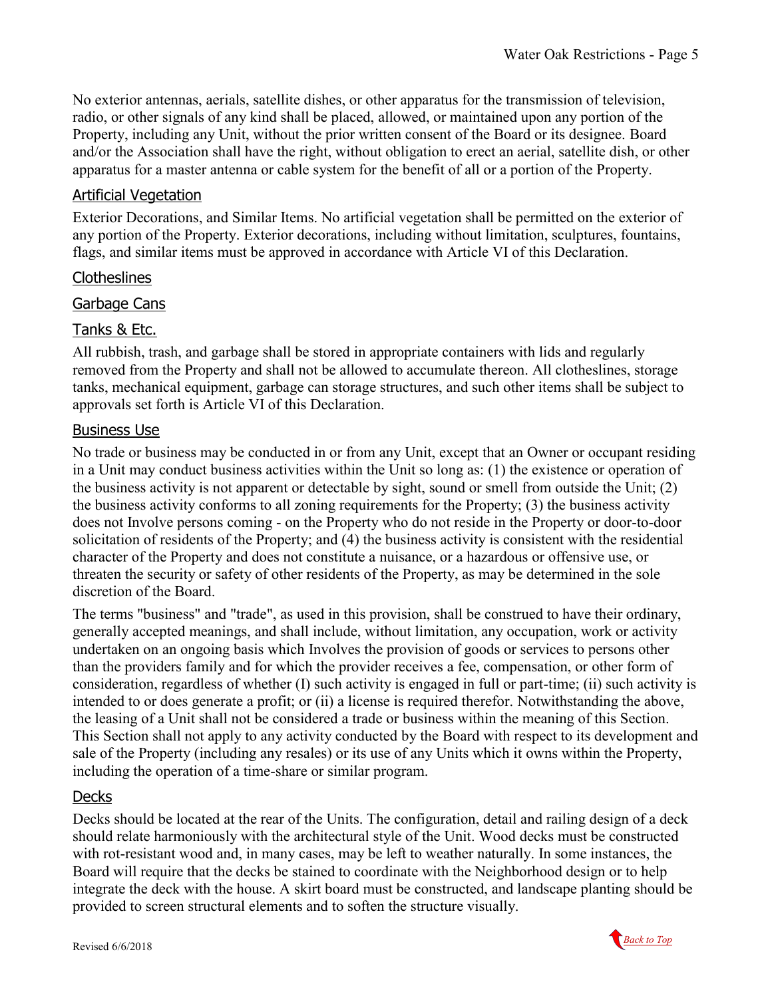No exterior antennas, aerials, satellite dishes, or other apparatus for the transmission of television, radio, or other signals of any kind shall be placed, allowed, or maintained upon any portion of the Property, including any Unit, without the prior written consent of the Board or its designee. Board and/or the Association shall have the right, without obligation to erect an aerial, satellite dish, or other apparatus for a master antenna or cable system for the benefit of all or a portion of the Property.

### <span id="page-4-0"></span>Artificial Vegetation

Exterior Decorations, and Similar Items. No artificial vegetation shall be permitted on the exterior of any portion of the Property. Exterior decorations, including without limitation, sculptures, fountains, flags, and similar items must be approved in accordance with Article VI of this Declaration.

### <span id="page-4-1"></span>**Clotheslines**

### <span id="page-4-2"></span>Garbage Cans

### <span id="page-4-3"></span>Tanks & Etc.

All rubbish, trash, and garbage shall be stored in appropriate containers with lids and regularly removed from the Property and shall not be allowed to accumulate thereon. All clotheslines, storage tanks, mechanical equipment, garbage can storage structures, and such other items shall be subject to approvals set forth is Article VI of this Declaration.

### <span id="page-4-4"></span>Business Use

No trade or business may be conducted in or from any Unit, except that an Owner or occupant residing in a Unit may conduct business activities within the Unit so long as: (1) the existence or operation of the business activity is not apparent or detectable by sight, sound or smell from outside the Unit; (2) the business activity conforms to all zoning requirements for the Property; (3) the business activity does not Involve persons coming - on the Property who do not reside in the Property or door-to-door solicitation of residents of the Property; and (4) the business activity is consistent with the residential character of the Property and does not constitute a nuisance, or a hazardous or offensive use, or threaten the security or safety of other residents of the Property, as may be determined in the sole discretion of the Board.

The terms "business" and "trade", as used in this provision, shall be construed to have their ordinary, generally accepted meanings, and shall include, without limitation, any occupation, work or activity undertaken on an ongoing basis which Involves the provision of goods or services to persons other than the providers family and for which the provider receives a fee, compensation, or other form of consideration, regardless of whether (I) such activity is engaged in full or part-time; (ii) such activity is intended to or does generate a profit; or (ii) a license is required therefor. Notwithstanding the above, the leasing of a Unit shall not be considered a trade or business within the meaning of this Section. This Section shall not apply to any activity conducted by the Board with respect to its development and sale of the Property (including any resales) or its use of any Units which it owns within the Property, including the operation of a time-share or similar program.

### <span id="page-4-5"></span>**Decks**

Decks should be located at the rear of the Units. The configuration, detail and railing design of a deck should relate harmoniously with the architectural style of the Unit. Wood decks must be constructed with rot-resistant wood and, in many cases, may be left to weather naturally. In some instances, the Board will require that the decks be stained to coordinate with the Neighborhood design or to help integrate the deck with the house. A skirt board must be constructed, and landscape planting should be provided to screen structural elements and to soften the structure visually.

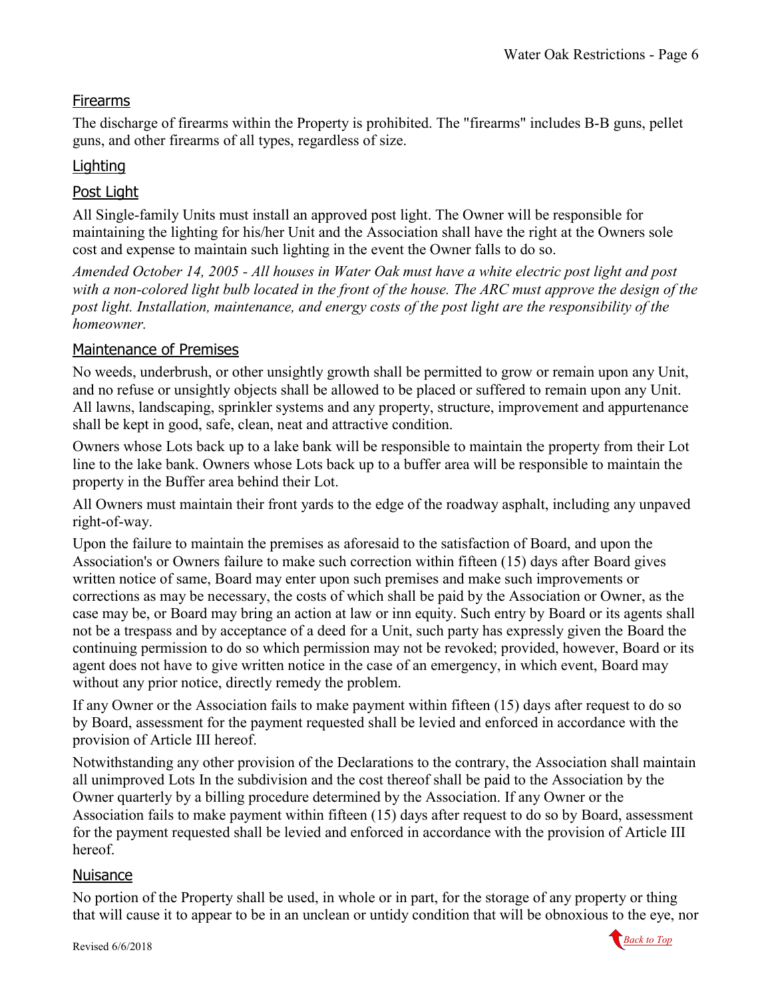### <span id="page-5-0"></span>Firearms

The discharge of firearms within the Property is prohibited. The "firearms" includes B-B guns, pellet guns, and other firearms of all types, regardless of size.

### <span id="page-5-1"></span>**Lighting**

### <span id="page-5-2"></span>Post Light

All Single-family Units must install an approved post light. The Owner will be responsible for maintaining the lighting for his/her Unit and the Association shall have the right at the Owners sole cost and expense to maintain such lighting in the event the Owner falls to do so.

*Amended October 14, 2005 - All houses in Water Oak must have a white electric post light and post with a non-colored light bulb located in the front of the house. The ARC must approve the design of the post light. Installation, maintenance, and energy costs of the post light are the responsibility of the homeowner.*

### <span id="page-5-3"></span>Maintenance of Premises

No weeds, underbrush, or other unsightly growth shall be permitted to grow or remain upon any Unit, and no refuse or unsightly objects shall be allowed to be placed or suffered to remain upon any Unit. All lawns, landscaping, sprinkler systems and any property, structure, improvement and appurtenance shall be kept in good, safe, clean, neat and attractive condition.

Owners whose Lots back up to a lake bank will be responsible to maintain the property from their Lot line to the lake bank. Owners whose Lots back up to a buffer area will be responsible to maintain the property in the Buffer area behind their Lot.

All Owners must maintain their front yards to the edge of the roadway asphalt, including any unpaved right-of-way.

Upon the failure to maintain the premises as aforesaid to the satisfaction of Board, and upon the Association's or Owners failure to make such correction within fifteen (15) days after Board gives written notice of same, Board may enter upon such premises and make such improvements or corrections as may be necessary, the costs of which shall be paid by the Association or Owner, as the case may be, or Board may bring an action at law or inn equity. Such entry by Board or its agents shall not be a trespass and by acceptance of a deed for a Unit, such party has expressly given the Board the continuing permission to do so which permission may not be revoked; provided, however, Board or its agent does not have to give written notice in the case of an emergency, in which event, Board may without any prior notice, directly remedy the problem.

If any Owner or the Association fails to make payment within fifteen (15) days after request to do so by Board, assessment for the payment requested shall be levied and enforced in accordance with the provision of Article III hereof.

Notwithstanding any other provision of the Declarations to the contrary, the Association shall maintain all unimproved Lots In the subdivision and the cost thereof shall be paid to the Association by the Owner quarterly by a billing procedure determined by the Association. If any Owner or the Association fails to make payment within fifteen (15) days after request to do so by Board, assessment for the payment requested shall be levied and enforced in accordance with the provision of Article III hereof.

### <span id="page-5-4"></span>**Nuisance**

No portion of the Property shall be used, in whole or in part, for the storage of any property or thing that will cause it to appear to be in an unclean or untidy condition that will be obnoxious to the eye, nor

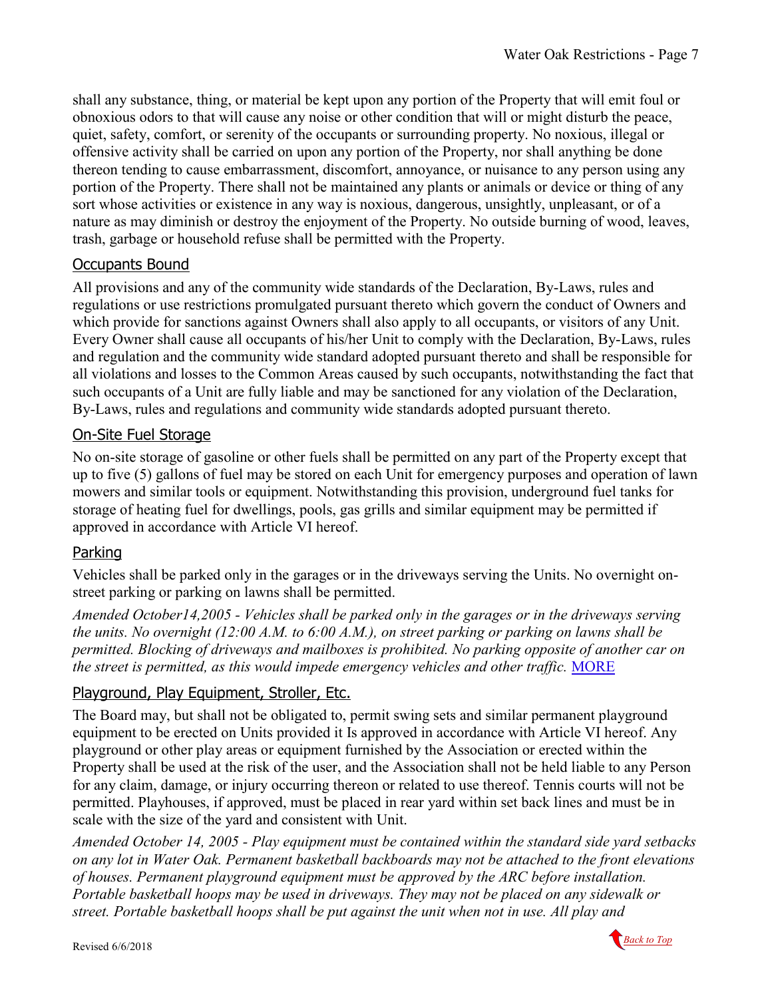shall any substance, thing, or material be kept upon any portion of the Property that will emit foul or obnoxious odors to that will cause any noise or other condition that will or might disturb the peace, quiet, safety, comfort, or serenity of the occupants or surrounding property. No noxious, illegal or offensive activity shall be carried on upon any portion of the Property, nor shall anything be done thereon tending to cause embarrassment, discomfort, annoyance, or nuisance to any person using any portion of the Property. There shall not be maintained any plants or animals or device or thing of any sort whose activities or existence in any way is noxious, dangerous, unsightly, unpleasant, or of a nature as may diminish or destroy the enjoyment of the Property. No outside burning of wood, leaves, trash, garbage or household refuse shall be permitted with the Property.

### <span id="page-6-0"></span>Occupants Bound

All provisions and any of the community wide standards of the Declaration, By-Laws, rules and regulations or use restrictions promulgated pursuant thereto which govern the conduct of Owners and which provide for sanctions against Owners shall also apply to all occupants, or visitors of any Unit. Every Owner shall cause all occupants of his/her Unit to comply with the Declaration, By-Laws, rules and regulation and the community wide standard adopted pursuant thereto and shall be responsible for all violations and losses to the Common Areas caused by such occupants, notwithstanding the fact that such occupants of a Unit are fully liable and may be sanctioned for any violation of the Declaration, By-Laws, rules and regulations and community wide standards adopted pursuant thereto.

### <span id="page-6-1"></span>On-Site Fuel Storage

No on-site storage of gasoline or other fuels shall be permitted on any part of the Property except that up to five (5) gallons of fuel may be stored on each Unit for emergency purposes and operation of lawn mowers and similar tools or equipment. Notwithstanding this provision, underground fuel tanks for storage of heating fuel for dwellings, pools, gas grills and similar equipment may be permitted if approved in accordance with Article VI hereof.

### <span id="page-6-2"></span>Parking

Vehicles shall be parked only in the garages or in the driveways serving the Units. No overnight onstreet parking or parking on lawns shall be permitted.

*Amended October14,2005 - Vehicles shall be parked only in the garages or in the driveways serving the units. No overnight (12:00 A.M. to 6:00 A.M.), on street parking or parking on lawns shall be permitted. Blocking of driveways and mailboxes is prohibited. No parking opposite of another car on the street is permitted, as this would impede emergency vehicles and other traffic.* [MORE](#page-14-3)

### <span id="page-6-3"></span>Playground, Play Equipment, Stroller, Etc.

The Board may, but shall not be obligated to, permit swing sets and similar permanent playground equipment to be erected on Units provided it Is approved in accordance with Article VI hereof. Any playground or other play areas or equipment furnished by the Association or erected within the Property shall be used at the risk of the user, and the Association shall not be held liable to any Person for any claim, damage, or injury occurring thereon or related to use thereof. Tennis courts will not be permitted. Playhouses, if approved, must be placed in rear yard within set back lines and must be in scale with the size of the yard and consistent with Unit.

*Amended October 14, 2005 - Play equipment must be contained within the standard side yard setbacks on any lot in Water Oak. Permanent basketball backboards may not be attached to the front elevations of houses. Permanent playground equipment must be approved by the ARC before installation. Portable basketball hoops may be used in driveways. They may not be placed on any sidewalk or street. Portable basketball hoops shall be put against the unit when not in use. All play and* 

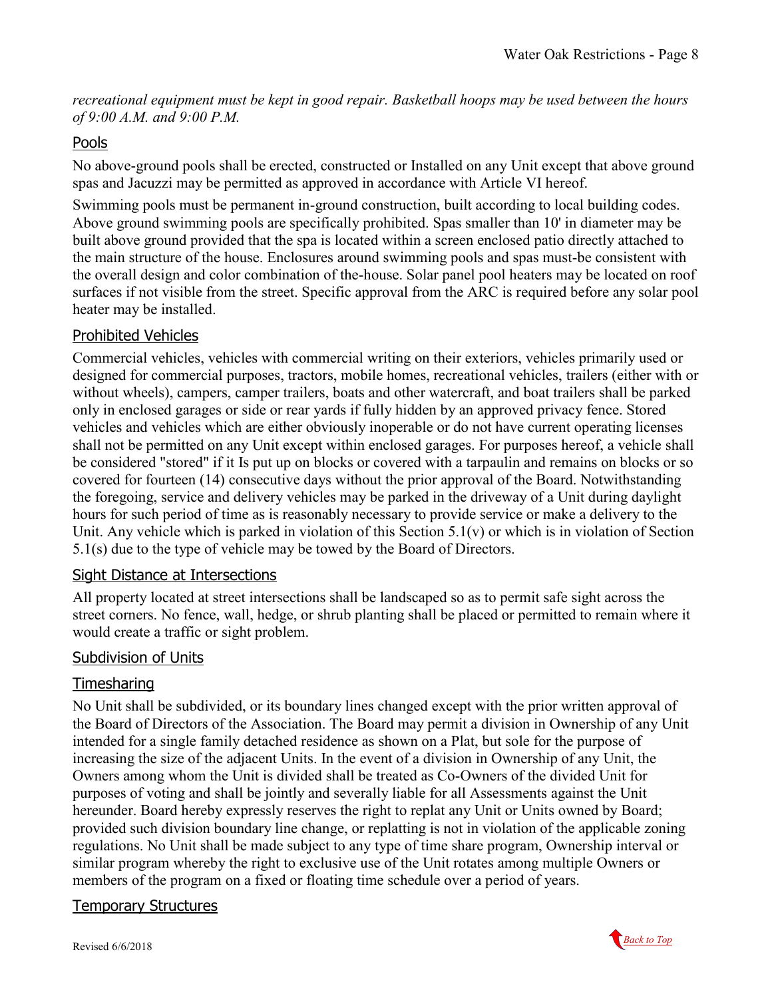*recreational equipment must be kept in good repair. Basketball hoops may be used between the hours of 9:00 A.M. and 9:00 P.M.*

### <span id="page-7-0"></span>Pools

No above-ground pools shall be erected, constructed or Installed on any Unit except that above ground spas and Jacuzzi may be permitted as approved in accordance with Article VI hereof.

Swimming pools must be permanent in-ground construction, built according to local building codes. Above ground swimming pools are specifically prohibited. Spas smaller than 10' in diameter may be built above ground provided that the spa is located within a screen enclosed patio directly attached to the main structure of the house. Enclosures around swimming pools and spas must-be consistent with the overall design and color combination of the-house. Solar panel pool heaters may be located on roof surfaces if not visible from the street. Specific approval from the ARC is required before any solar pool heater may be installed.

### <span id="page-7-1"></span>Prohibited Vehicles

Commercial vehicles, vehicles with commercial writing on their exteriors, vehicles primarily used or designed for commercial purposes, tractors, mobile homes, recreational vehicles, trailers (either with or without wheels), campers, camper trailers, boats and other watercraft, and boat trailers shall be parked only in enclosed garages or side or rear yards if fully hidden by an approved privacy fence. Stored vehicles and vehicles which are either obviously inoperable or do not have current operating licenses shall not be permitted on any Unit except within enclosed garages. For purposes hereof, a vehicle shall be considered "stored" if it Is put up on blocks or covered with a tarpaulin and remains on blocks or so covered for fourteen (14) consecutive days without the prior approval of the Board. Notwithstanding the foregoing, service and delivery vehicles may be parked in the driveway of a Unit during daylight hours for such period of time as is reasonably necessary to provide service or make a delivery to the Unit. Any vehicle which is parked in violation of this Section  $5.1(v)$  or which is in violation of Section 5.1(s) due to the type of vehicle may be towed by the Board of Directors.

### <span id="page-7-2"></span>Sight Distance at Intersections

All property located at street intersections shall be landscaped so as to permit safe sight across the street corners. No fence, wall, hedge, or shrub planting shall be placed or permitted to remain where it would create a traffic or sight problem.

### <span id="page-7-3"></span>Subdivision of Units

### <span id="page-7-4"></span>Timesharing

No Unit shall be subdivided, or its boundary lines changed except with the prior written approval of the Board of Directors of the Association. The Board may permit a division in Ownership of any Unit intended for a single family detached residence as shown on a Plat, but sole for the purpose of increasing the size of the adjacent Units. In the event of a division in Ownership of any Unit, the Owners among whom the Unit is divided shall be treated as Co-Owners of the divided Unit for purposes of voting and shall be jointly and severally liable for all Assessments against the Unit hereunder. Board hereby expressly reserves the right to replat any Unit or Units owned by Board; provided such division boundary line change, or replatting is not in violation of the applicable zoning regulations. No Unit shall be made subject to any type of time share program, Ownership interval or similar program whereby the right to exclusive use of the Unit rotates among multiple Owners or members of the program on a fixed or floating time schedule over a period of years.

### <span id="page-7-5"></span>Temporary Structures

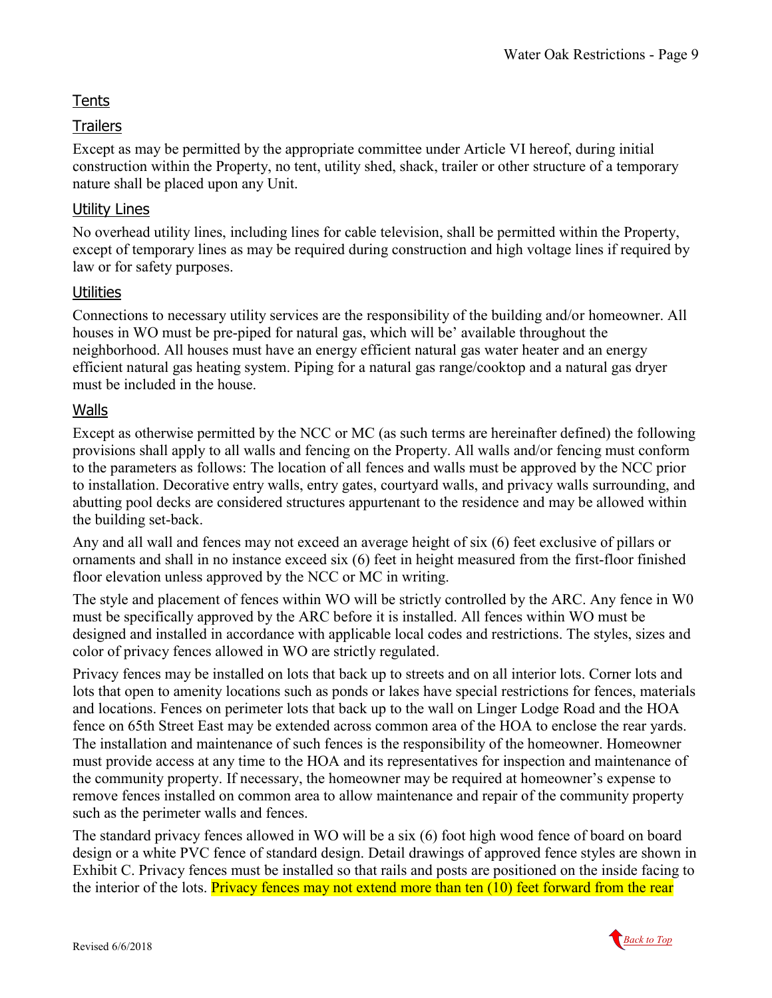### <span id="page-8-0"></span>**Tents**

### <span id="page-8-1"></span>**Trailers**

Except as may be permitted by the appropriate committee under Article VI hereof, during initial construction within the Property, no tent, utility shed, shack, trailer or other structure of a temporary nature shall be placed upon any Unit.

### <span id="page-8-2"></span>Utility Lines

No overhead utility lines, including lines for cable television, shall be permitted within the Property, except of temporary lines as may be required during construction and high voltage lines if required by law or for safety purposes.

### <span id="page-8-3"></span>**Utilities**

Connections to necessary utility services are the responsibility of the building and/or homeowner. All houses in WO must be pre-piped for natural gas, which will be' available throughout the neighborhood. All houses must have an energy efficient natural gas water heater and an energy efficient natural gas heating system. Piping for a natural gas range/cooktop and a natural gas dryer must be included in the house.

### <span id="page-8-4"></span>Walls

Except as otherwise permitted by the NCC or MC (as such terms are hereinafter defined) the following provisions shall apply to all walls and fencing on the Property. All walls and/or fencing must conform to the parameters as follows: The location of all fences and walls must be approved by the NCC prior to installation. Decorative entry walls, entry gates, courtyard walls, and privacy walls surrounding, and abutting pool decks are considered structures appurtenant to the residence and may be allowed within the building set-back.

Any and all wall and fences may not exceed an average height of six (6) feet exclusive of pillars or ornaments and shall in no instance exceed six (6) feet in height measured from the first-floor finished floor elevation unless approved by the NCC or MC in writing.

The style and placement of fences within WO will be strictly controlled by the ARC. Any fence in W0 must be specifically approved by the ARC before it is installed. All fences within WO must be designed and installed in accordance with applicable local codes and restrictions. The styles, sizes and color of privacy fences allowed in WO are strictly regulated.

Privacy fences may be installed on lots that back up to streets and on all interior lots. Corner lots and lots that open to amenity locations such as ponds or lakes have special restrictions for fences, materials and locations. Fences on perimeter lots that back up to the wall on Linger Lodge Road and the HOA fence on 65th Street East may be extended across common area of the HOA to enclose the rear yards. The installation and maintenance of such fences is the responsibility of the homeowner. Homeowner must provide access at any time to the HOA and its representatives for inspection and maintenance of the community property. If necessary, the homeowner may be required at homeowner's expense to remove fences installed on common area to allow maintenance and repair of the community property such as the perimeter walls and fences.

The standard privacy fences allowed in WO will be a six (6) foot high wood fence of board on board design or a white PVC fence of standard design. Detail drawings of approved fence styles are shown in Exhibit C. Privacy fences must be installed so that rails and posts are positioned on the inside facing to the interior of the lots. Privacy fences may not extend more than ten (10) feet forward from the rear

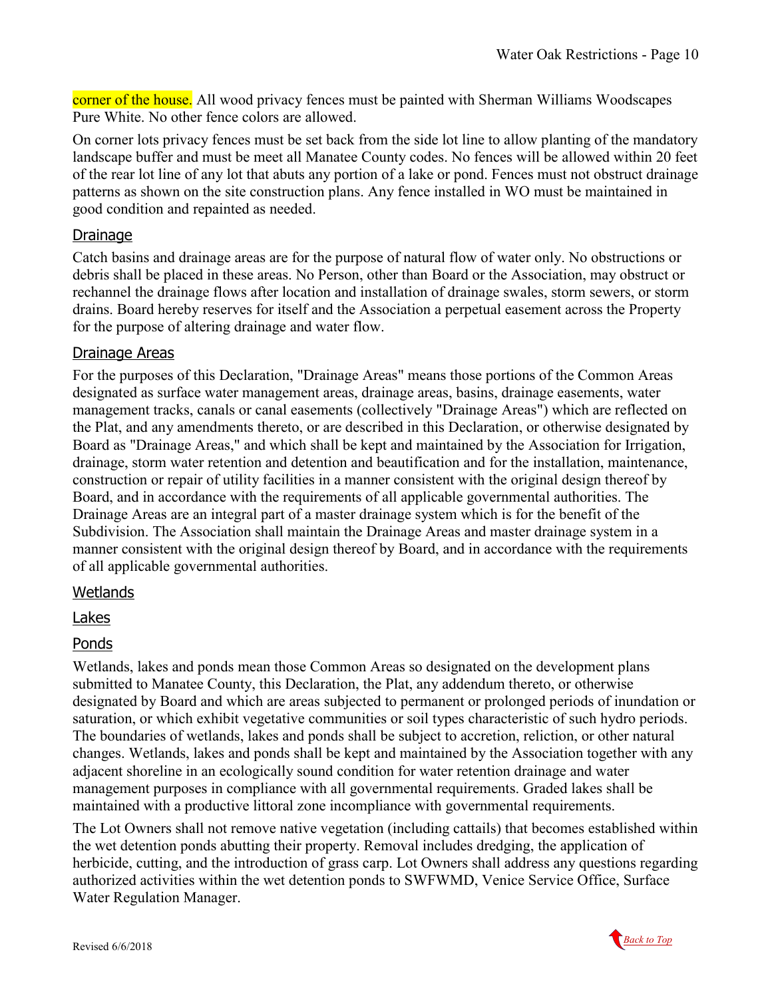corner of the house. All wood privacy fences must be painted with Sherman Williams Woodscapes Pure White. No other fence colors are allowed.

On corner lots privacy fences must be set back from the side lot line to allow planting of the mandatory landscape buffer and must be meet all Manatee County codes. No fences will be allowed within 20 feet of the rear lot line of any lot that abuts any portion of a lake or pond. Fences must not obstruct drainage patterns as shown on the site construction plans. Any fence installed in WO must be maintained in good condition and repainted as needed.

### <span id="page-9-0"></span>Drainage

Catch basins and drainage areas are for the purpose of natural flow of water only. No obstructions or debris shall be placed in these areas. No Person, other than Board or the Association, may obstruct or rechannel the drainage flows after location and installation of drainage swales, storm sewers, or storm drains. Board hereby reserves for itself and the Association a perpetual easement across the Property for the purpose of altering drainage and water flow.

#### <span id="page-9-1"></span>Drainage Areas

For the purposes of this Declaration, "Drainage Areas" means those portions of the Common Areas designated as surface water management areas, drainage areas, basins, drainage easements, water management tracks, canals or canal easements (collectively "Drainage Areas") which are reflected on the Plat, and any amendments thereto, or are described in this Declaration, or otherwise designated by Board as "Drainage Areas," and which shall be kept and maintained by the Association for Irrigation, drainage, storm water retention and detention and beautification and for the installation, maintenance, construction or repair of utility facilities in a manner consistent with the original design thereof by Board, and in accordance with the requirements of all applicable governmental authorities. The Drainage Areas are an integral part of a master drainage system which is for the benefit of the Subdivision. The Association shall maintain the Drainage Areas and master drainage system in a manner consistent with the original design thereof by Board, and in accordance with the requirements of all applicable governmental authorities.

#### <span id="page-9-2"></span>**Wetlands**

#### <span id="page-9-3"></span>Lakes

#### <span id="page-9-4"></span>Ponds

Wetlands, lakes and ponds mean those Common Areas so designated on the development plans submitted to Manatee County, this Declaration, the Plat, any addendum thereto, or otherwise designated by Board and which are areas subjected to permanent or prolonged periods of inundation or saturation, or which exhibit vegetative communities or soil types characteristic of such hydro periods. The boundaries of wetlands, lakes and ponds shall be subject to accretion, reliction, or other natural changes. Wetlands, lakes and ponds shall be kept and maintained by the Association together with any adjacent shoreline in an ecologically sound condition for water retention drainage and water management purposes in compliance with all governmental requirements. Graded lakes shall be maintained with a productive littoral zone incompliance with governmental requirements.

The Lot Owners shall not remove native vegetation (including cattails) that becomes established within the wet detention ponds abutting their property. Removal includes dredging, the application of herbicide, cutting, and the introduction of grass carp. Lot Owners shall address any questions regarding authorized activities within the wet detention ponds to SWFWMD, Venice Service Office, Surface Water Regulation Manager.

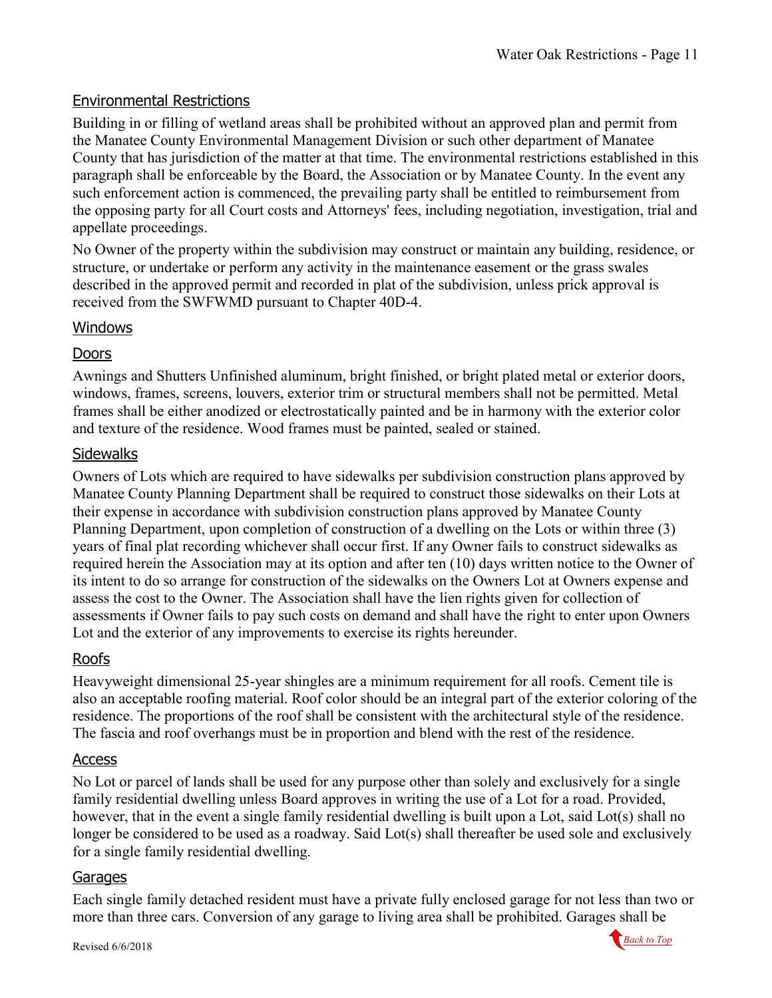### <span id="page-10-0"></span>Environmental Restrictions

Building in or filling of wetland areas shall be prohibited without an approved plan and permit from the Manatee County Environmental Management Division or such other department of Manatee County that has jurisdiction of the matter at that time. The environmental restrictions established in this paragraph shall be enforceable by the Board, the Association or by Manatee County. In the event any such enforcement action is commenced, the prevailing party shall be entitled to reimbursement from the opposing party for all Court costs and Attorneys' fees, including negotiation, investigation, trial and appellate proceedings.

No Owner of the property within the subdivision may construct or maintain any building, residence, or structure, or undertake or perform any activity in the maintenance easement or the grass swales described in the approved permit and recorded in plat of the subdivision, unless prick approval is received from the SWFWMD pursuant to Chapter 40D-4.

#### <span id="page-10-1"></span>Windows

### <span id="page-10-2"></span>Doors

Awnings and Shutters Unfinished aluminum, bright finished, or bright plated metal or exterior doors, windows, frames, screens, louvers, exterior trim or structural members shall not be permitted. Metal frames shall be either anodized or electrostatically painted and be in harmony with the exterior color and texture of the residence. Wood frames must be painted, sealed or stained.

### <span id="page-10-3"></span>**Sidewalks**

Owners of Lots which are required to have sidewalks per subdivision construction plans approved by Manatee County Planning Department shall be required to construct those sidewalks on their Lots at their expense in accordance with subdivision construction plans approved by Manatee County Planning Department, upon completion of construction of a dwelling on the Lots or within three (3) years of final plat recording whichever shall occur first. If any Owner fails to construct sidewalks as required herein the Association may at its option and after ten (10) days written notice to the Owner of its intent to do so arrange for construction of the sidewalks on the Owners Lot at Owners expense and assess the cost to the Owner. The Association shall have the lien rights given for collection of assessments if Owner fails to pay such costs on demand and shall have the right to enter upon Owners Lot and the exterior of any improvements to exercise its rights hereunder.

### <span id="page-10-4"></span>Roofs

Heavyweight dimensional 25-year shingles are a minimum requirement for all roofs. Cement tile is also an acceptable roofing material. Roof color should be an integral part of the exterior coloring of the residence. The proportions of the roof shall be consistent with the architectural style of the residence. The fascia and roof overhangs must be in proportion and blend with the rest of the residence.

#### <span id="page-10-5"></span>Access

No Lot or parcel of lands shall be used for any purpose other than solely and exclusively for a single family residential dwelling unless Board approves in writing the use of a Lot for a road. Provided, however, that in the event a single family residential dwelling is built upon a Lot, said Lot(s) shall no longer be considered to be used as a roadway. Said Lot(s) shall thereafter be used sole and exclusively for a single family residential dwelling.

#### <span id="page-10-6"></span>Garages

Each single family detached resident must have a private fully enclosed garage for not less than two or more than three cars. Conversion of any garage to living area shall be prohibited. Garages shall be

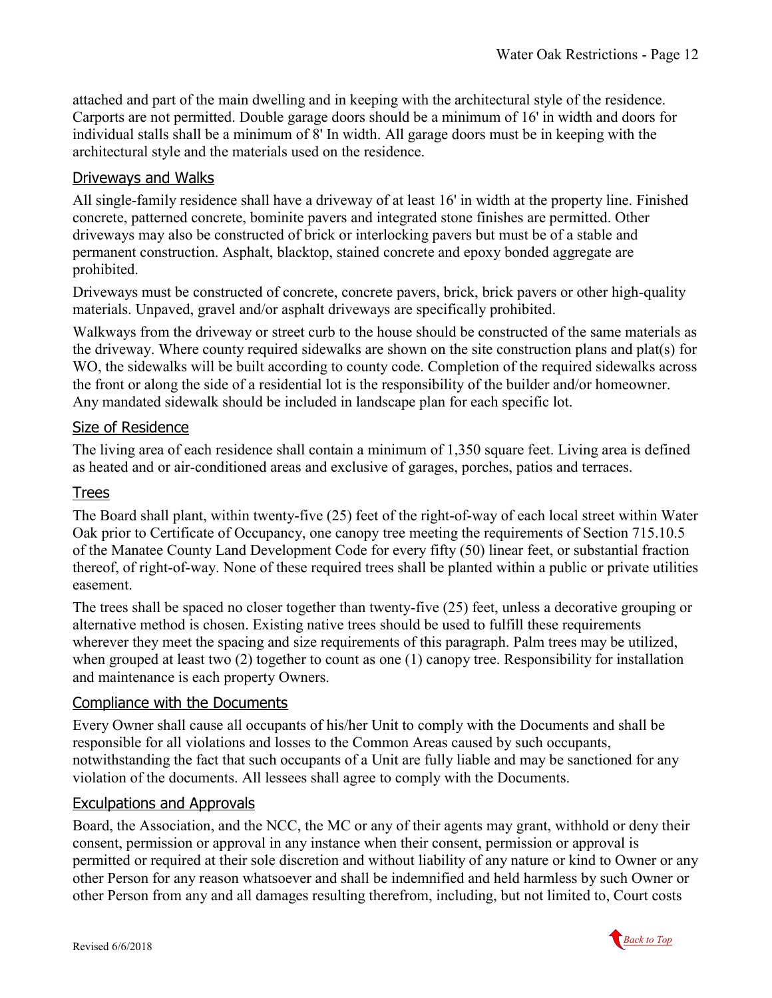attached and part of the main dwelling and in keeping with the architectural style of the residence. Carports are not permitted. Double garage doors should be a minimum of 16' in width and doors for individual stalls shall be a minimum of 8' In width. All garage doors must be in keeping with the architectural style and the materials used on the residence.

### <span id="page-11-0"></span>Driveways and Walks

All single-family residence shall have a driveway of at least 16' in width at the property line. Finished concrete, patterned concrete, bominite pavers and integrated stone finishes are permitted. Other driveways may also be constructed of brick or interlocking pavers but must be of a stable and permanent construction. Asphalt, blacktop, stained concrete and epoxy bonded aggregate are prohibited.

Driveways must be constructed of concrete, concrete pavers, brick, brick pavers or other high-quality materials. Unpaved, gravel and/or asphalt driveways are specifically prohibited.

Walkways from the driveway or street curb to the house should be constructed of the same materials as the driveway. Where county required sidewalks are shown on the site construction plans and plat(s) for WO, the sidewalks will be built according to county code. Completion of the required sidewalks across the front or along the side of a residential lot is the responsibility of the builder and/or homeowner. Any mandated sidewalk should be included in landscape plan for each specific lot.

### <span id="page-11-1"></span>Size of Residence

The living area of each residence shall contain a minimum of 1,350 square feet. Living area is defined as heated and or air-conditioned areas and exclusive of garages, porches, patios and terraces.

### <span id="page-11-2"></span>Trees

The Board shall plant, within twenty-five (25) feet of the right-of-way of each local street within Water Oak prior to Certificate of Occupancy, one canopy tree meeting the requirements of Section 715.10.5 of the Manatee County Land Development Code for every fifty (50) linear feet, or substantial fraction thereof, of right-of-way. None of these required trees shall be planted within a public or private utilities easement.

The trees shall be spaced no closer together than twenty-five (25) feet, unless a decorative grouping or alternative method is chosen. Existing native trees should be used to fulfill these requirements wherever they meet the spacing and size requirements of this paragraph. Palm trees may be utilized, when grouped at least two (2) together to count as one (1) canopy tree. Responsibility for installation and maintenance is each property Owners.

### <span id="page-11-3"></span>Compliance with the Documents

Every Owner shall cause all occupants of his/her Unit to comply with the Documents and shall be responsible for all violations and losses to the Common Areas caused by such occupants, notwithstanding the fact that such occupants of a Unit are fully liable and may be sanctioned for any violation of the documents. All lessees shall agree to comply with the Documents.

### <span id="page-11-4"></span>Exculpations and Approvals

Board, the Association, and the NCC, the MC or any of their agents may grant, withhold or deny their consent, permission or approval in any instance when their consent, permission or approval is permitted or required at their sole discretion and without liability of any nature or kind to Owner or any other Person for any reason whatsoever and shall be indemnified and held harmless by such Owner or other Person from any and all damages resulting therefrom, including, but not limited to, Court costs

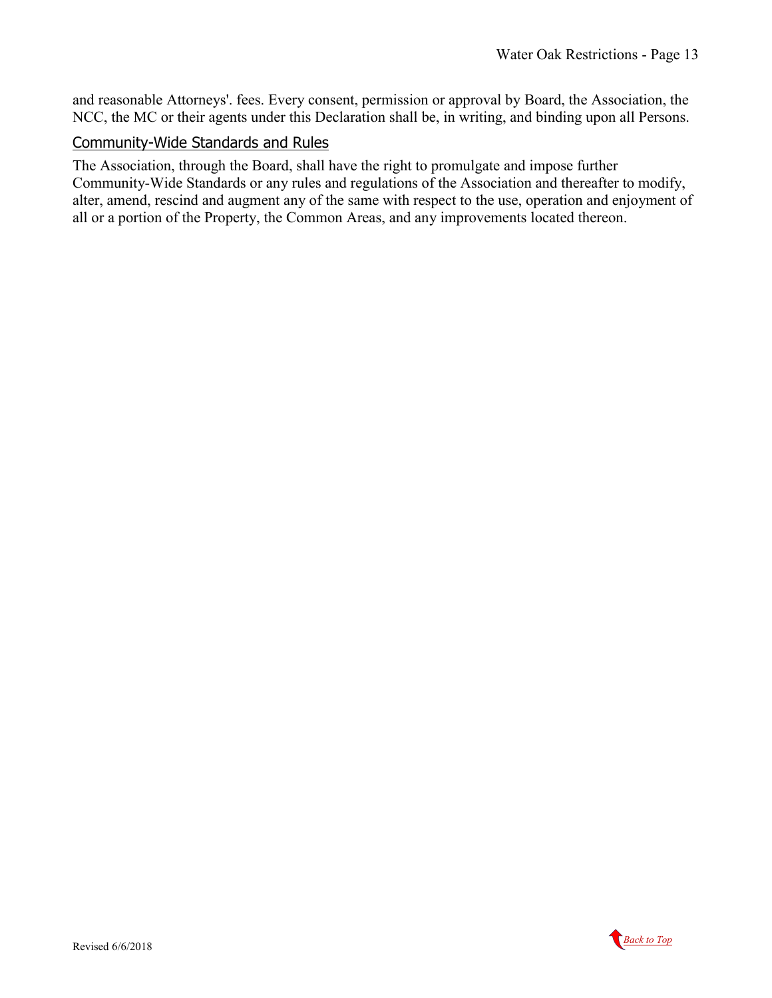and reasonable Attorneys'. fees. Every consent, permission or approval by Board, the Association, the NCC, the MC or their agents under this Declaration shall be, in writing, and binding upon all Persons.

#### <span id="page-12-0"></span>Community-Wide Standards and Rules

The Association, through the Board, shall have the right to promulgate and impose further Community-Wide Standards or any rules and regulations of the Association and thereafter to modify, alter, amend, rescind and augment any of the same with respect to the use, operation and enjoyment of all or a portion of the Property, the Common Areas, and any improvements located thereon.

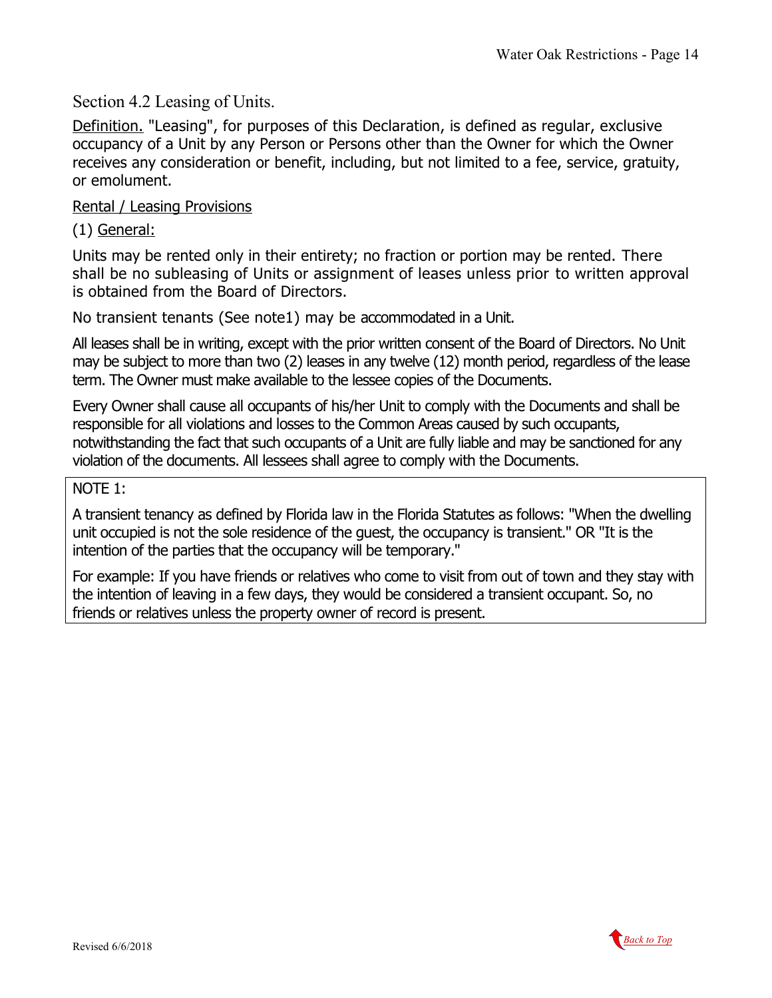<span id="page-13-0"></span>Section 4.2 Leasing of Units.

Definition. "Leasing", for purposes of this Declaration, is defined as regular, exclusive occupancy of a Unit by any Person or Persons other than the Owner for which the Owner receives any consideration or benefit, including, but not limited to a fee, service, gratuity, or emolument.

### <span id="page-13-1"></span>Rental / Leasing Provisions

(1) General:

Units may be rented only in their entirety; no fraction or portion may be rented. There shall be no subleasing of Units or assignment of leases unless prior to written approval is obtained from the Board of Directors.

No transient tenants (See note1) may be accommodated in a Unit.

All leases shall be in writing, except with the prior written consent of the Board of Directors. No Unit may be subject to more than two (2) leases in any twelve (12) month period, regardless of the lease term. The Owner must make available to the lessee copies of the Documents.

Every Owner shall cause all occupants of his/her Unit to comply with the Documents and shall be responsible for all violations and losses to the Common Areas caused by such occupants, notwithstanding the fact that such occupants of a Unit are fully liable and may be sanctioned for any violation of the documents. All lessees shall agree to comply with the Documents.

### NOTE 1:

A transient tenancy as defined by Florida law in the Florida Statutes as follows: "When the dwelling unit occupied is not the sole residence of the guest, the occupancy is transient." OR "It is the intention of the parties that the occupancy will be temporary."

For example: If you have friends or relatives who come to visit from out of town and they stay with the intention of leaving in a few days, they would be considered a transient occupant. So, no friends or relatives unless the property owner of record is present.

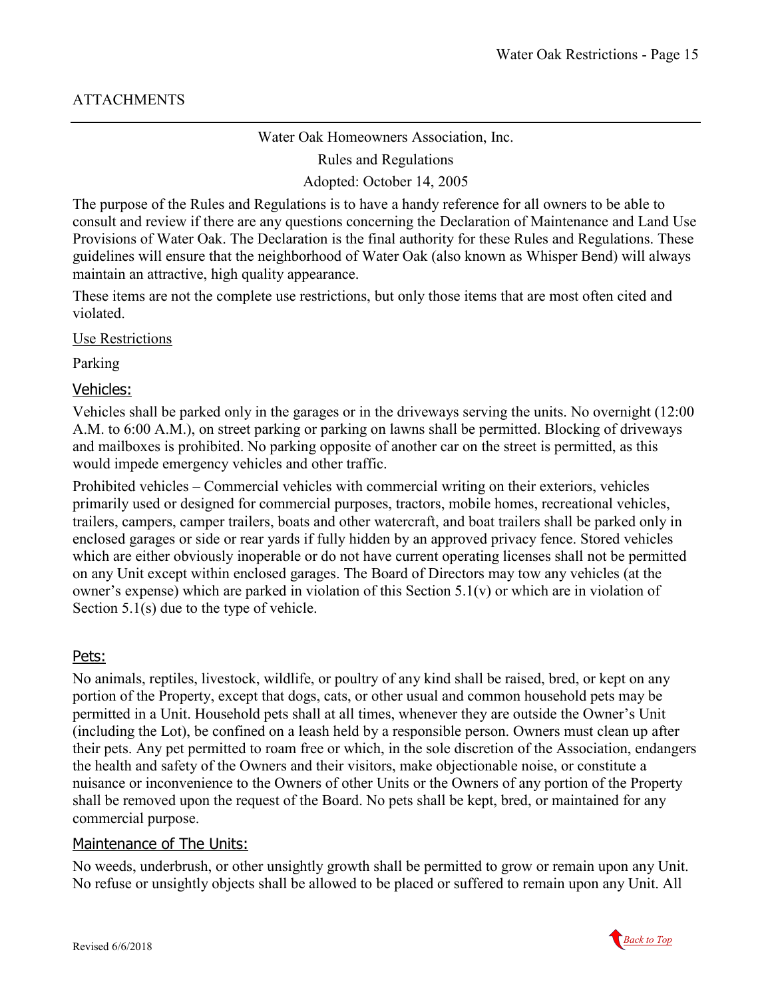#### Water Oak Homeowners Association, Inc.

Rules and Regulations

Adopted: October 14, 2005

The purpose of the Rules and Regulations is to have a handy reference for all owners to be able to consult and review if there are any questions concerning the Declaration of Maintenance and Land Use Provisions of Water Oak. The Declaration is the final authority for these Rules and Regulations. These guidelines will ensure that the neighborhood of Water Oak (also known as Whisper Bend) will always maintain an attractive, high quality appearance.

These items are not the complete use restrictions, but only those items that are most often cited and violated.

Use Restrictions

Parking

#### <span id="page-14-3"></span><span id="page-14-0"></span>Vehicles:

Vehicles shall be parked only in the garages or in the driveways serving the units. No overnight (12:00 A.M. to 6:00 A.M.), on street parking or parking on lawns shall be permitted. Blocking of driveways and mailboxes is prohibited. No parking opposite of another car on the street is permitted, as this would impede emergency vehicles and other traffic.

Prohibited vehicles – Commercial vehicles with commercial writing on their exteriors, vehicles primarily used or designed for commercial purposes, tractors, mobile homes, recreational vehicles, trailers, campers, camper trailers, boats and other watercraft, and boat trailers shall be parked only in enclosed garages or side or rear yards if fully hidden by an approved privacy fence. Stored vehicles which are either obviously inoperable or do not have current operating licenses shall not be permitted on any Unit except within enclosed garages. The Board of Directors may tow any vehicles (at the owner's expense) which are parked in violation of this Section 5.1(v) or which are in violation of Section 5.1(s) due to the type of vehicle.

#### <span id="page-14-1"></span>Pets:

No animals, reptiles, livestock, wildlife, or poultry of any kind shall be raised, bred, or kept on any portion of the Property, except that dogs, cats, or other usual and common household pets may be permitted in a Unit. Household pets shall at all times, whenever they are outside the Owner's Unit (including the Lot), be confined on a leash held by a responsible person. Owners must clean up after their pets. Any pet permitted to roam free or which, in the sole discretion of the Association, endangers the health and safety of the Owners and their visitors, make objectionable noise, or constitute a nuisance or inconvenience to the Owners of other Units or the Owners of any portion of the Property shall be removed upon the request of the Board. No pets shall be kept, bred, or maintained for any commercial purpose.

#### <span id="page-14-2"></span>Maintenance of The Units:

No weeds, underbrush, or other unsightly growth shall be permitted to grow or remain upon any Unit. No refuse or unsightly objects shall be allowed to be placed or suffered to remain upon any Unit. All

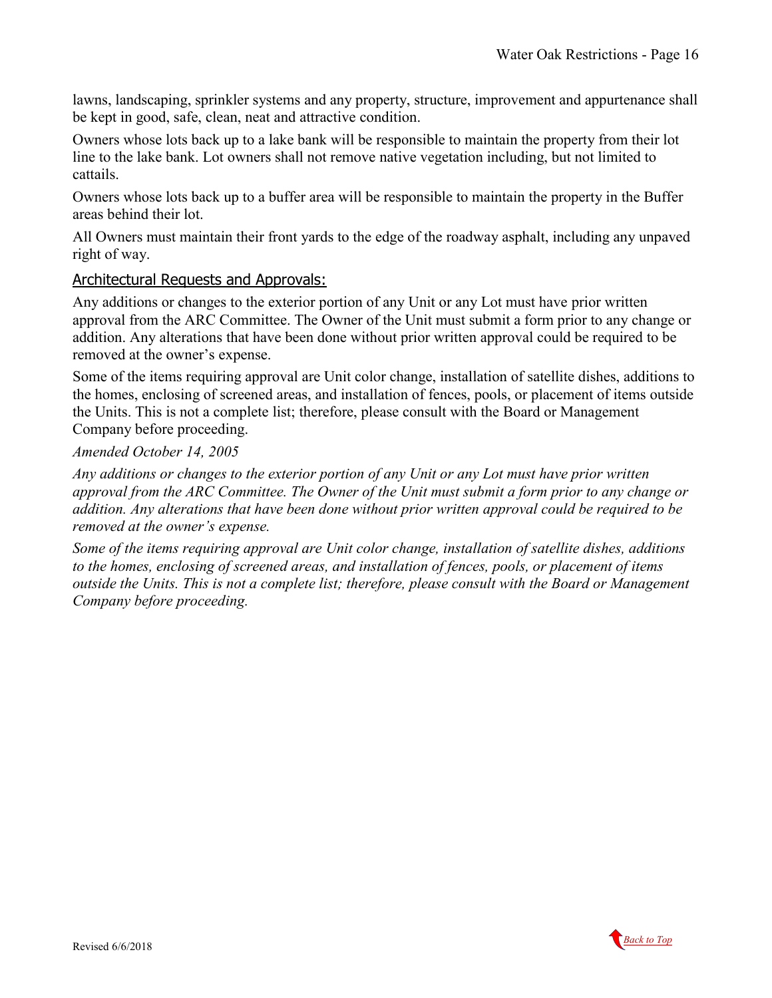lawns, landscaping, sprinkler systems and any property, structure, improvement and appurtenance shall be kept in good, safe, clean, neat and attractive condition.

Owners whose lots back up to a lake bank will be responsible to maintain the property from their lot line to the lake bank. Lot owners shall not remove native vegetation including, but not limited to cattails.

Owners whose lots back up to a buffer area will be responsible to maintain the property in the Buffer areas behind their lot.

All Owners must maintain their front yards to the edge of the roadway asphalt, including any unpaved right of way.

#### <span id="page-15-0"></span>Architectural Requests and Approvals:

Any additions or changes to the exterior portion of any Unit or any Lot must have prior written approval from the ARC Committee. The Owner of the Unit must submit a form prior to any change or addition. Any alterations that have been done without prior written approval could be required to be removed at the owner's expense.

Some of the items requiring approval are Unit color change, installation of satellite dishes, additions to the homes, enclosing of screened areas, and installation of fences, pools, or placement of items outside the Units. This is not a complete list; therefore, please consult with the Board or Management Company before proceeding.

#### *Amended October 14, 2005*

*Any additions or changes to the exterior portion of any Unit or any Lot must have prior written approval from the ARC Committee. The Owner of the Unit must submit a form prior to any change or addition. Any alterations that have been done without prior written approval could be required to be removed at the owner's expense.*

*Some of the items requiring approval are Unit color change, installation of satellite dishes, additions to the homes, enclosing of screened areas, and installation of fences, pools, or placement of items outside the Units. This is not a complete list; therefore, please consult with the Board or Management Company before proceeding.*

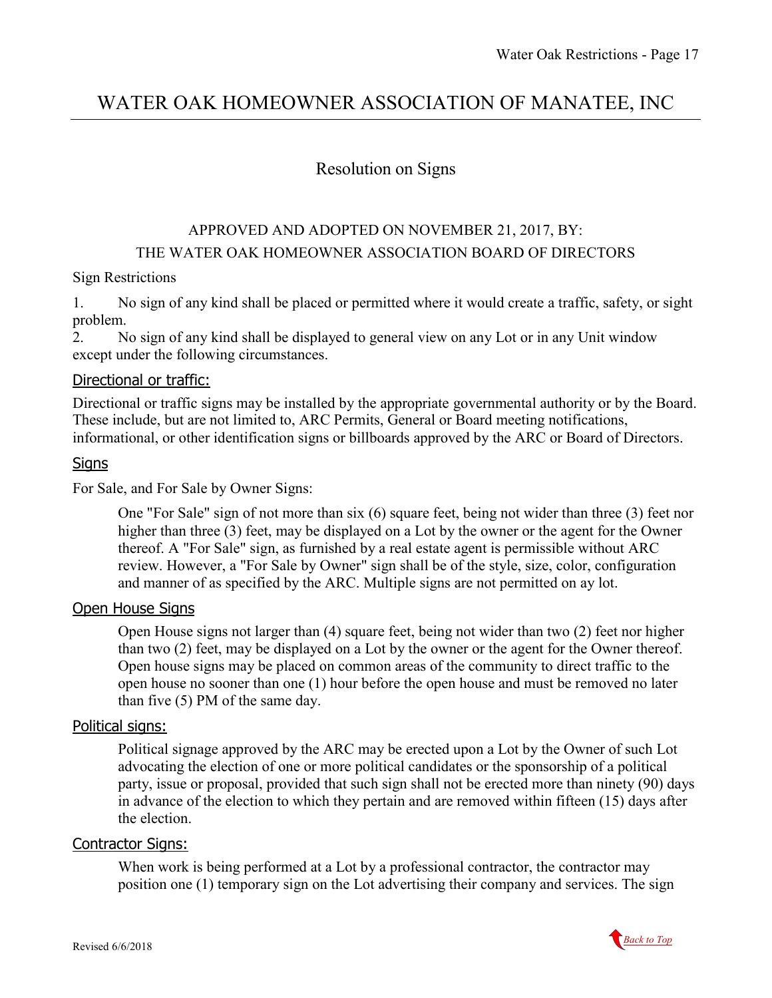# <span id="page-16-0"></span>WATER OAK HOMEOWNER ASSOCIATION OF MANATEE, INC

### Resolution on Signs

### APPROVED AND ADOPTED ON NOVEMBER 21, 2017, BY: THE WATER OAK HOMEOWNER ASSOCIATION BOARD OF DIRECTORS

#### Sign Restrictions

1. No sign of any kind shall be placed or permitted where it would create a traffic, safety, or sight problem.

2. No sign of any kind shall be displayed to general view on any Lot or in any Unit window except under the following circumstances.

#### <span id="page-16-1"></span>Directional or traffic:

Directional or traffic signs may be installed by the appropriate governmental authority or by the Board. These include, but are not limited to, ARC Permits, General or Board meeting notifications, informational, or other identification signs or billboards approved by the ARC or Board of Directors.

#### <span id="page-16-2"></span>**Signs**

For Sale, and For Sale by Owner Signs:

One "For Sale" sign of not more than six (6) square feet, being not wider than three (3) feet nor higher than three (3) feet, may be displayed on a Lot by the owner or the agent for the Owner thereof. A "For Sale" sign, as furnished by a real estate agent is permissible without ARC review. However, a "For Sale by Owner" sign shall be of the style, size, color, configuration and manner of as specified by the ARC. Multiple signs are not permitted on ay lot.

#### <span id="page-16-3"></span>**Open House Signs**

Open House signs not larger than (4) square feet, being not wider than two (2) feet nor higher than two (2) feet, may be displayed on a Lot by the owner or the agent for the Owner thereof. Open house signs may be placed on common areas of the community to direct traffic to the open house no sooner than one (1) hour before the open house and must be removed no later than five (5) PM of the same day.

#### <span id="page-16-4"></span>Political signs:

Political signage approved by the ARC may be erected upon a Lot by the Owner of such Lot advocating the election of one or more political candidates or the sponsorship of a political party, issue or proposal, provided that such sign shall not be erected more than ninety (90) days in advance of the election to which they pertain and are removed within fifteen (15) days after the election.

#### <span id="page-16-5"></span>Contractor Signs:

When work is being performed at a Lot by a professional contractor, the contractor may position one (1) temporary sign on the Lot advertising their company and services. The sign

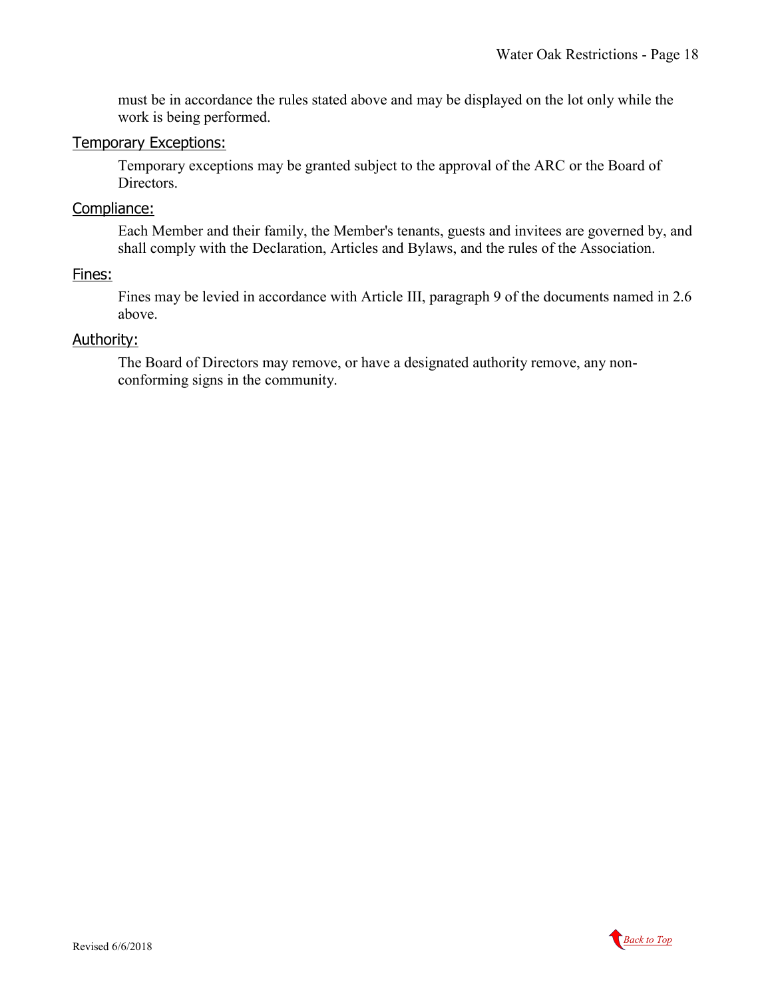must be in accordance the rules stated above and may be displayed on the lot only while the work is being performed.

#### <span id="page-17-0"></span>Temporary Exceptions:

Temporary exceptions may be granted subject to the approval of the ARC or the Board of Directors.

#### <span id="page-17-1"></span>Compliance:

Each Member and their family, the Member's tenants, guests and invitees are governed by, and shall comply with the Declaration, Articles and Bylaws, and the rules of the Association.

#### <span id="page-17-2"></span>Fines:

Fines may be levied in accordance with Article III, paragraph 9 of the documents named in 2.6 above.

#### <span id="page-17-3"></span>Authority:

The Board of Directors may remove, or have a designated authority remove, any nonconforming signs in the community.

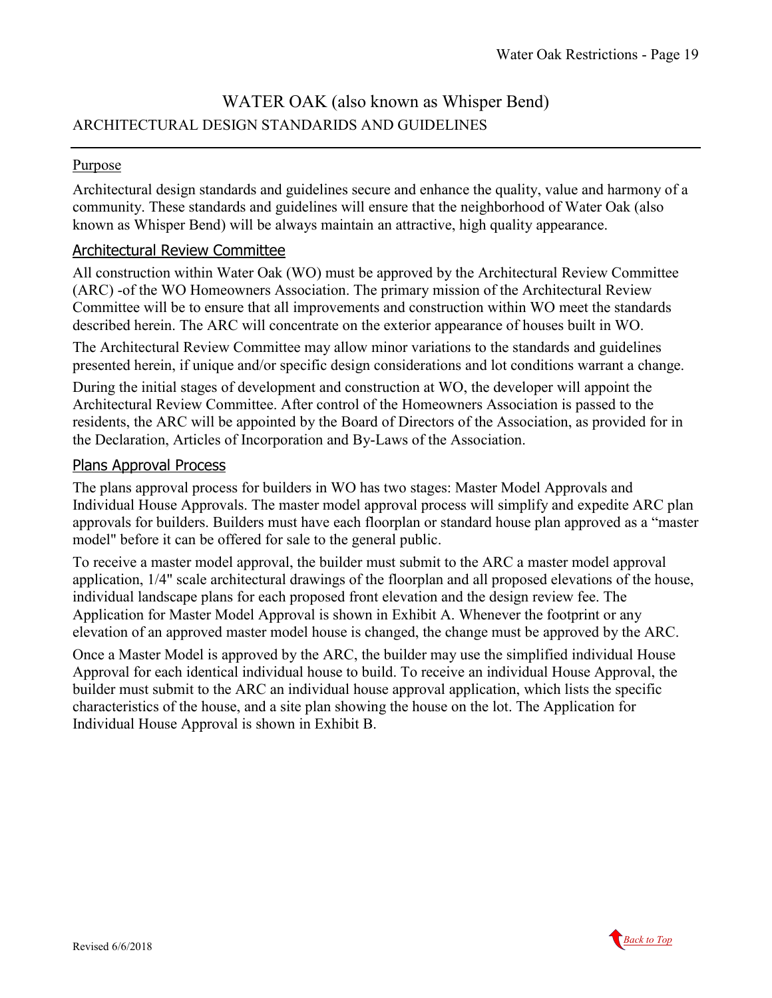## WATER OAK (also known as Whisper Bend) ARCHITECTURAL DESIGN STANDARIDS AND GUIDELINES

#### **Purpose**

Architectural design standards and guidelines secure and enhance the quality, value and harmony of a community. These standards and guidelines will ensure that the neighborhood of Water Oak (also known as Whisper Bend) will be always maintain an attractive, high quality appearance.

#### <span id="page-18-0"></span>Architectural Review Committee

All construction within Water Oak (WO) must be approved by the Architectural Review Committee (ARC) -of the WO Homeowners Association. The primary mission of the Architectural Review Committee will be to ensure that all improvements and construction within WO meet the standards described herein. The ARC will concentrate on the exterior appearance of houses built in WO.

The Architectural Review Committee may allow minor variations to the standards and guidelines presented herein, if unique and/or specific design considerations and lot conditions warrant a change.

During the initial stages of development and construction at WO, the developer will appoint the Architectural Review Committee. After control of the Homeowners Association is passed to the residents, the ARC will be appointed by the Board of Directors of the Association, as provided for in the Declaration, Articles of Incorporation and By-Laws of the Association.

#### <span id="page-18-1"></span>Plans Approval Process

The plans approval process for builders in WO has two stages: Master Model Approvals and Individual House Approvals. The master model approval process will simplify and expedite ARC plan approvals for builders. Builders must have each floorplan or standard house plan approved as a "master model" before it can be offered for sale to the general public.

To receive a master model approval, the builder must submit to the ARC a master model approval application, 1/4" scale architectural drawings of the floorplan and all proposed elevations of the house, individual landscape plans for each proposed front elevation and the design review fee. The Application for Master Model Approval is shown in Exhibit A. Whenever the footprint or any elevation of an approved master model house is changed, the change must be approved by the ARC.

Once a Master Model is approved by the ARC, the builder may use the simplified individual House Approval for each identical individual house to build. To receive an individual House Approval, the builder must submit to the ARC an individual house approval application, which lists the specific characteristics of the house, and a site plan showing the house on the lot. The Application for Individual House Approval is shown in Exhibit B.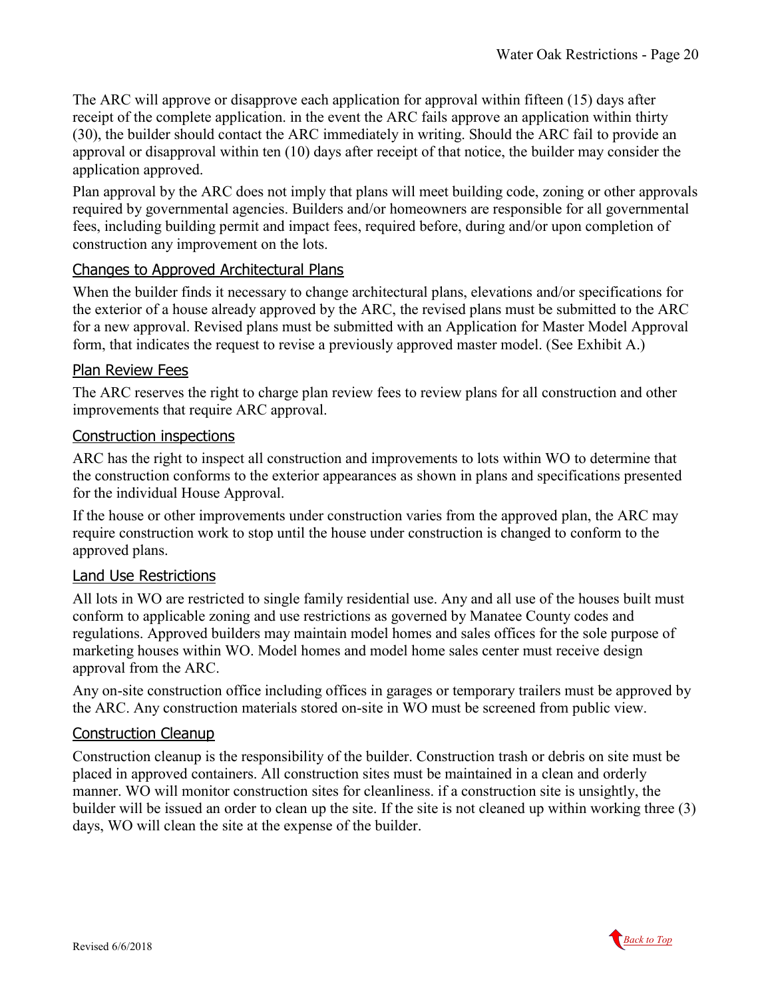The ARC will approve or disapprove each application for approval within fifteen (15) days after receipt of the complete application. in the event the ARC fails approve an application within thirty (30), the builder should contact the ARC immediately in writing. Should the ARC fail to provide an approval or disapproval within ten (10) days after receipt of that notice, the builder may consider the application approved.

Plan approval by the ARC does not imply that plans will meet building code, zoning or other approvals required by governmental agencies. Builders and/or homeowners are responsible for all governmental fees, including building permit and impact fees, required before, during and/or upon completion of construction any improvement on the lots.

#### <span id="page-19-0"></span>Changes to Approved Architectural Plans

When the builder finds it necessary to change architectural plans, elevations and/or specifications for the exterior of a house already approved by the ARC, the revised plans must be submitted to the ARC for a new approval. Revised plans must be submitted with an Application for Master Model Approval form, that indicates the request to revise a previously approved master model. (See Exhibit A.)

### <span id="page-19-1"></span>Plan Review Fees

The ARC reserves the right to charge plan review fees to review plans for all construction and other improvements that require ARC approval.

#### <span id="page-19-2"></span>Construction inspections

ARC has the right to inspect all construction and improvements to lots within WO to determine that the construction conforms to the exterior appearances as shown in plans and specifications presented for the individual House Approval.

If the house or other improvements under construction varies from the approved plan, the ARC may require construction work to stop until the house under construction is changed to conform to the approved plans.

### <span id="page-19-3"></span>Land Use Restrictions

All lots in WO are restricted to single family residential use. Any and all use of the houses built must conform to applicable zoning and use restrictions as governed by Manatee County codes and regulations. Approved builders may maintain model homes and sales offices for the sole purpose of marketing houses within WO. Model homes and model home sales center must receive design approval from the ARC.

Any on-site construction office including offices in garages or temporary trailers must be approved by the ARC. Any construction materials stored on-site in WO must be screened from public view.

#### <span id="page-19-4"></span>Construction Cleanup

Construction cleanup is the responsibility of the builder. Construction trash or debris on site must be placed in approved containers. All construction sites must be maintained in a clean and orderly manner. WO will monitor construction sites for cleanliness. if a construction site is unsightly, the builder will be issued an order to clean up the site. If the site is not cleaned up within working three (3) days, WO will clean the site at the expense of the builder.

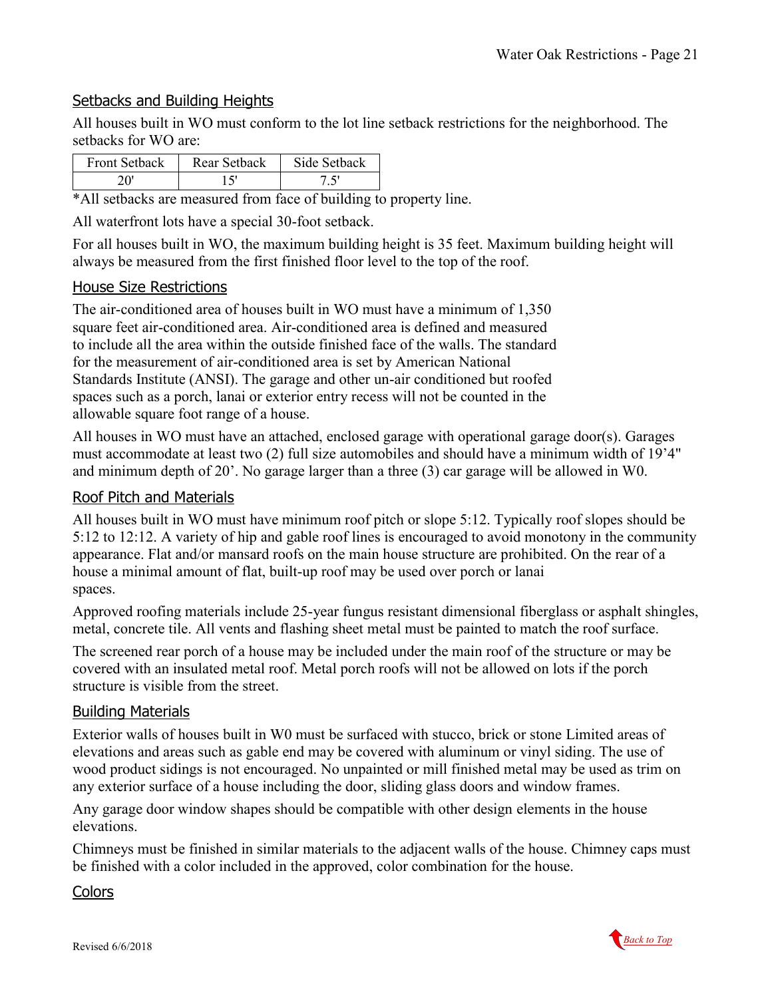### <span id="page-20-0"></span>Setbacks and Building Heights

All houses built in WO must conform to the lot line setback restrictions for the neighborhood. The setbacks for WO are:

| <b>Front Setback</b> | Rear Setback | Side Sethack |
|----------------------|--------------|--------------|
|                      |              |              |

\*All setbacks are measured from face of building to property line.

All waterfront lots have a special 30-foot setback.

For all houses built in WO, the maximum building height is 35 feet. Maximum building height will always be measured from the first finished floor level to the top of the roof.

### <span id="page-20-1"></span>House Size Restrictions

The air-conditioned area of houses built in WO must have a minimum of 1,350 square feet air-conditioned area. Air-conditioned area is defined and measured to include all the area within the outside finished face of the walls. The standard for the measurement of air-conditioned area is set by American National Standards Institute (ANSI). The garage and other un-air conditioned but roofed spaces such as a porch, lanai or exterior entry recess will not be counted in the allowable square foot range of a house.

All houses in WO must have an attached, enclosed garage with operational garage door(s). Garages must accommodate at least two (2) full size automobiles and should have a minimum width of 19'4" and minimum depth of 20'. No garage larger than a three (3) car garage will be allowed in W0.

#### <span id="page-20-2"></span>Roof Pitch and Materials

All houses built in WO must have minimum roof pitch or slope 5:12. Typically roof slopes should be 5:12 to 12:12. A variety of hip and gable roof lines is encouraged to avoid monotony in the community appearance. Flat and/or mansard roofs on the main house structure are prohibited. On the rear of a house a minimal amount of flat, built-up roof may be used over porch or lanai spaces.

Approved roofing materials include 25-year fungus resistant dimensional fiberglass or asphalt shingles, metal, concrete tile. All vents and flashing sheet metal must be painted to match the roof surface.

The screened rear porch of a house may be included under the main roof of the structure or may be covered with an insulated metal roof. Metal porch roofs will not be allowed on lots if the porch structure is visible from the street.

#### <span id="page-20-3"></span>Building Materials

Exterior walls of houses built in W0 must be surfaced with stucco, brick or stone Limited areas of elevations and areas such as gable end may be covered with aluminum or vinyl siding. The use of wood product sidings is not encouraged. No unpainted or mill finished metal may be used as trim on any exterior surface of a house including the door, sliding glass doors and window frames.

Any garage door window shapes should be compatible with other design elements in the house elevations.

Chimneys must be finished in similar materials to the adjacent walls of the house. Chimney caps must be finished with a color included in the approved, color combination for the house.

<span id="page-20-4"></span>**Colors** 

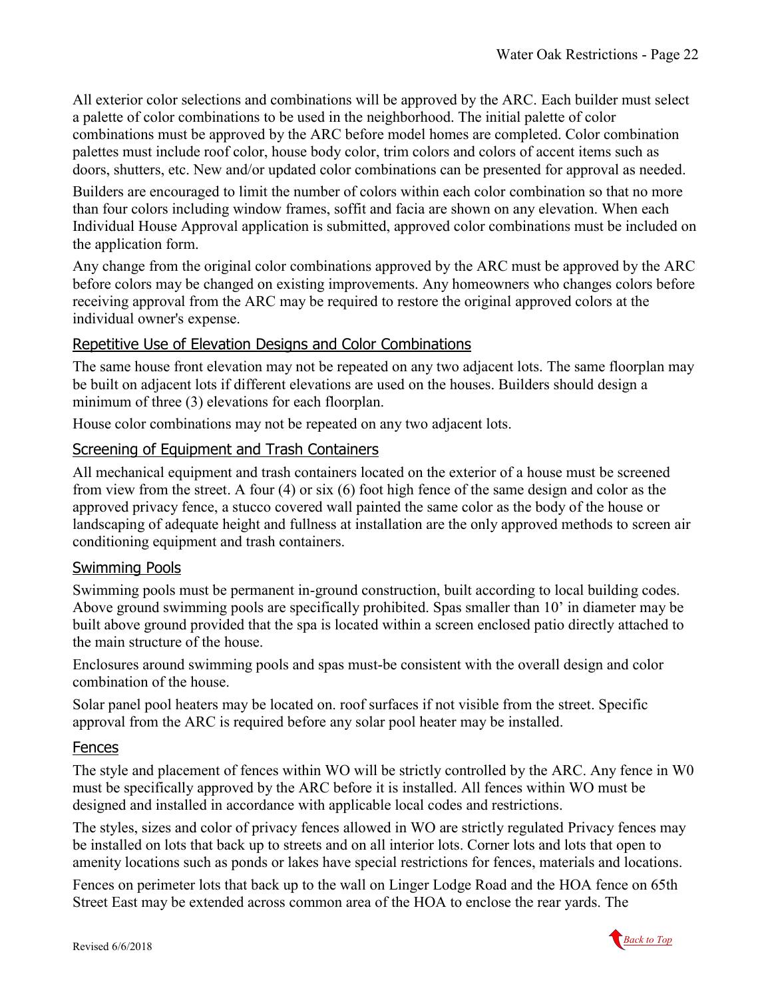All exterior color selections and combinations will be approved by the ARC. Each builder must select a palette of color combinations to be used in the neighborhood. The initial palette of color combinations must be approved by the ARC before model homes are completed. Color combination palettes must include roof color, house body color, trim colors and colors of accent items such as doors, shutters, etc. New and/or updated color combinations can be presented for approval as needed.

Builders are encouraged to limit the number of colors within each color combination so that no more than four colors including window frames, soffit and facia are shown on any elevation. When each Individual House Approval application is submitted, approved color combinations must be included on the application form.

Any change from the original color combinations approved by the ARC must be approved by the ARC before colors may be changed on existing improvements. Any homeowners who changes colors before receiving approval from the ARC may be required to restore the original approved colors at the individual owner's expense.

### <span id="page-21-0"></span>Repetitive Use of Elevation Designs and Color Combinations

The same house front elevation may not be repeated on any two adjacent lots. The same floorplan may be built on adjacent lots if different elevations are used on the houses. Builders should design a minimum of three (3) elevations for each floorplan.

House color combinations may not be repeated on any two adjacent lots.

#### <span id="page-21-1"></span>**Screening of Equipment and Trash Containers**

All mechanical equipment and trash containers located on the exterior of a house must be screened from view from the street. A four (4) or six (6) foot high fence of the same design and color as the approved privacy fence, a stucco covered wall painted the same color as the body of the house or landscaping of adequate height and fullness at installation are the only approved methods to screen air conditioning equipment and trash containers.

#### <span id="page-21-2"></span>Swimming Pools

Swimming pools must be permanent in-ground construction, built according to local building codes. Above ground swimming pools are specifically prohibited. Spas smaller than 10' in diameter may be built above ground provided that the spa is located within a screen enclosed patio directly attached to the main structure of the house.

Enclosures around swimming pools and spas must-be consistent with the overall design and color combination of the house.

Solar panel pool heaters may be located on. roof surfaces if not visible from the street. Specific approval from the ARC is required before any solar pool heater may be installed.

#### <span id="page-21-3"></span>Fences

The style and placement of fences within WO will be strictly controlled by the ARC. Any fence in W0 must be specifically approved by the ARC before it is installed. All fences within WO must be designed and installed in accordance with applicable local codes and restrictions.

The styles, sizes and color of privacy fences allowed in WO are strictly regulated Privacy fences may be installed on lots that back up to streets and on all interior lots. Corner lots and lots that open to amenity locations such as ponds or lakes have special restrictions for fences, materials and locations.

Fences on perimeter lots that back up to the wall on Linger Lodge Road and the HOA fence on 65th Street East may be extended across common area of the HOA to enclose the rear yards. The

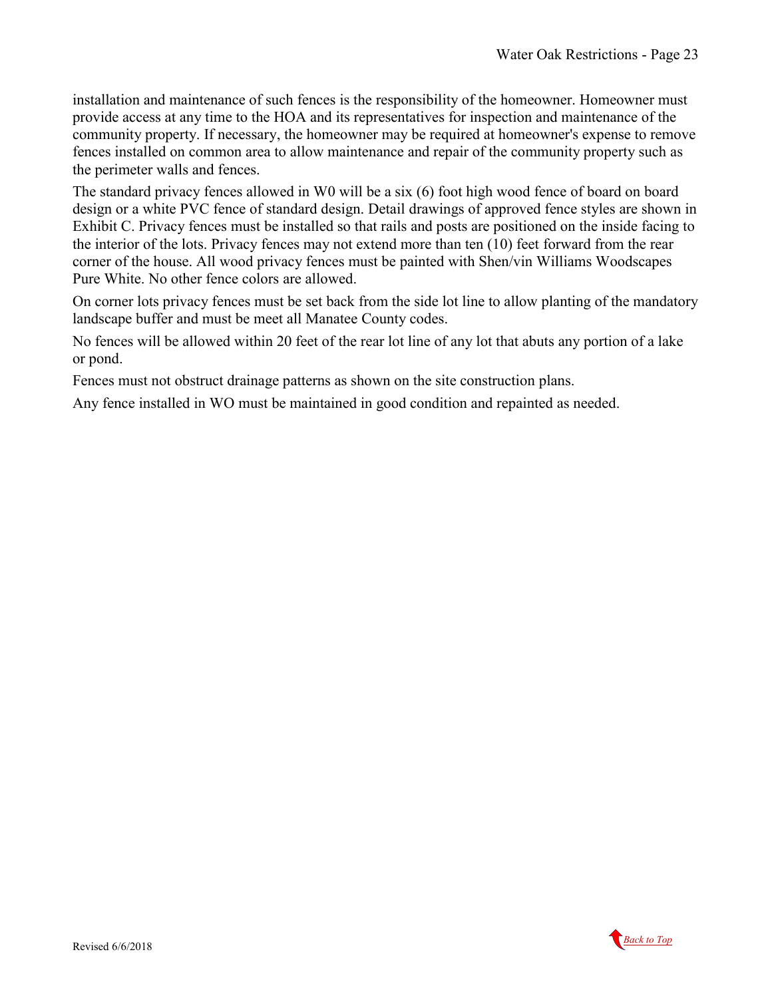installation and maintenance of such fences is the responsibility of the homeowner. Homeowner must provide access at any time to the HOA and its representatives for inspection and maintenance of the community property. If necessary, the homeowner may be required at homeowner's expense to remove fences installed on common area to allow maintenance and repair of the community property such as the perimeter walls and fences.

The standard privacy fences allowed in W0 will be a six (6) foot high wood fence of board on board design or a white PVC fence of standard design. Detail drawings of approved fence styles are shown in Exhibit C. Privacy fences must be installed so that rails and posts are positioned on the inside facing to the interior of the lots. Privacy fences may not extend more than ten (10) feet forward from the rear corner of the house. All wood privacy fences must be painted with Shen/vin Williams Woodscapes Pure White. No other fence colors are allowed.

On corner lots privacy fences must be set back from the side lot line to allow planting of the mandatory landscape buffer and must be meet all Manatee County codes.

No fences will be allowed within 20 feet of the rear lot line of any lot that abuts any portion of a lake or pond.

Fences must not obstruct drainage patterns as shown on the site construction plans.

Any fence installed in WO must be maintained in good condition and repainted as needed.

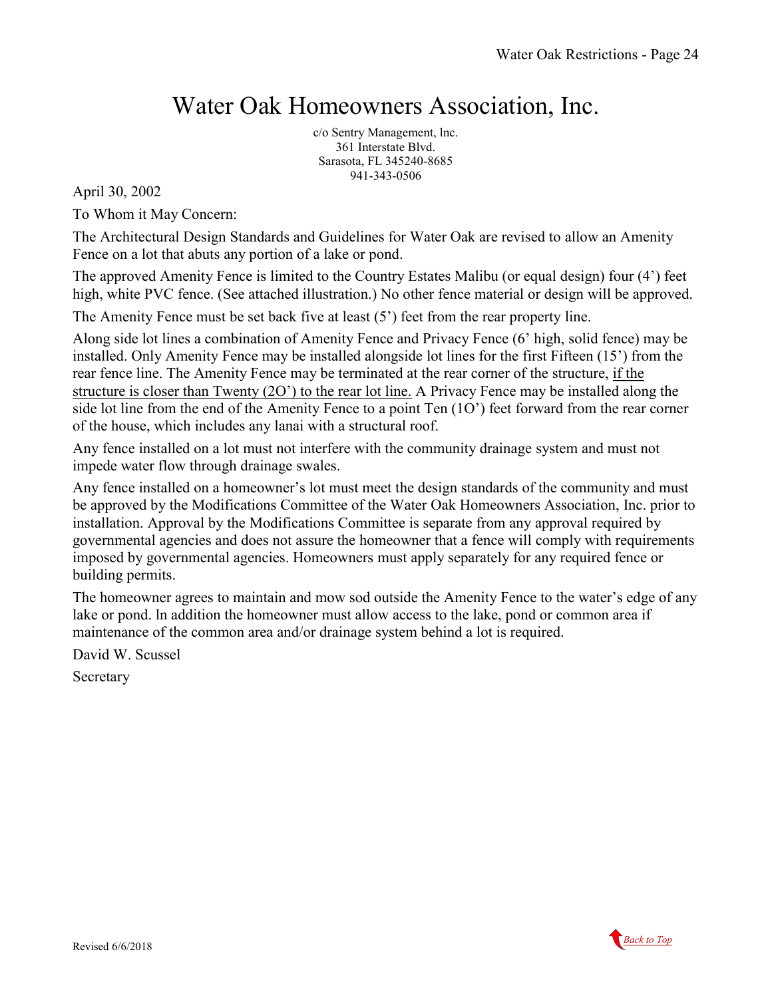# Water Oak Homeowners Association, Inc.

c/o Sentry Management, lnc. 361 Interstate Blvd. Sarasota, FL 345240-8685 941-343-0506

April 30, 2002

To Whom it May Concern:

The Architectural Design Standards and Guidelines for Water Oak are revised to allow an Amenity Fence on a lot that abuts any portion of a lake or pond.

The approved Amenity Fence is limited to the Country Estates Malibu (or equal design) four (4') feet high, white PVC fence. (See attached illustration.) No other fence material or design will be approved.

The Amenity Fence must be set back five at least (5') feet from the rear property line.

Along side lot lines a combination of Amenity Fence and Privacy Fence (6' high, solid fence) may be installed. Only Amenity Fence may be installed alongside lot lines for the first Fifteen (15') from the rear fence line. The Amenity Fence may be terminated at the rear corner of the structure, if the structure is closer than Twenty (2O') to the rear lot line. A Privacy Fence may be installed along the side lot line from the end of the Amenity Fence to a point Ten (1O') feet forward from the rear corner of the house, which includes any lanai with a structural roof.

Any fence installed on a lot must not interfere with the community drainage system and must not impede water flow through drainage swales.

Any fence installed on a homeowner's lot must meet the design standards of the community and must be approved by the Modifications Committee of the Water Oak Homeowners Association, Inc. prior to installation. Approval by the Modifications Committee is separate from any approval required by governmental agencies and does not assure the homeowner that a fence will comply with requirements imposed by governmental agencies. Homeowners must apply separately for any required fence or building permits.

The homeowner agrees to maintain and mow sod outside the Amenity Fence to the water's edge of any lake or pond. ln addition the homeowner must allow access to the lake, pond or common area if maintenance of the common area and/or drainage system behind a lot is required.

David W. Scussel

Secretary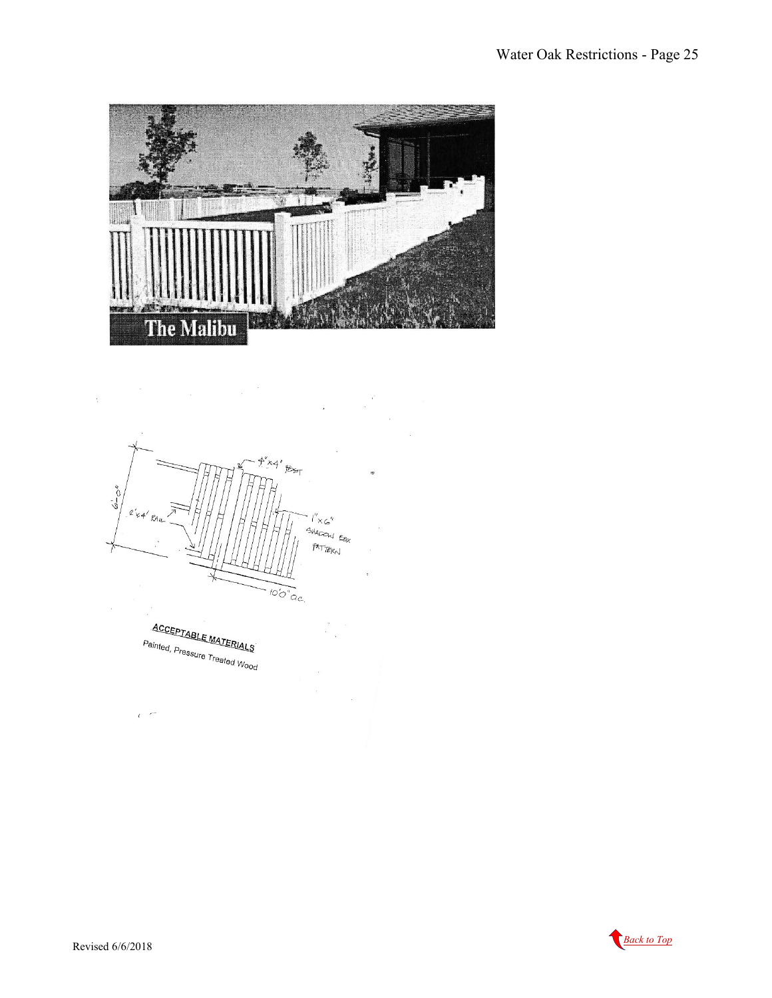



**ACCEPTABLE MATERIALS** Painted, Pressure Treated Wood

 $\overline{\phantom{a}}$ 



 $\overline{1}$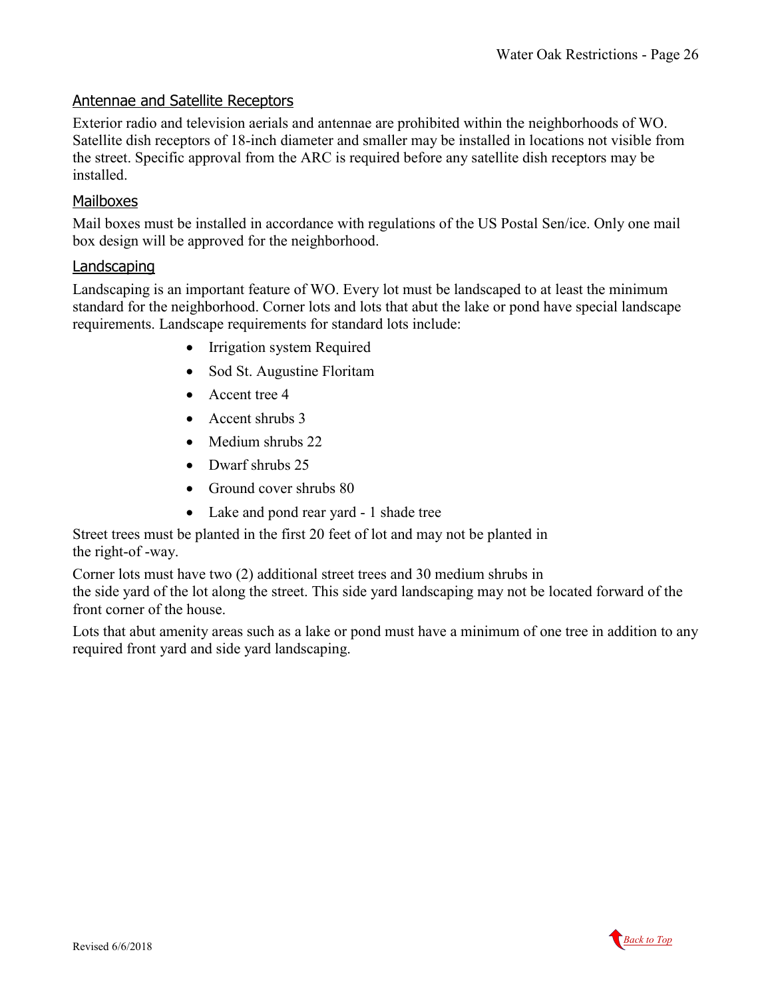#### <span id="page-25-0"></span>Antennae and Satellite Receptors

Exterior radio and television aerials and antennae are prohibited within the neighborhoods of WO. Satellite dish receptors of 18-inch diameter and smaller may be installed in locations not visible from the street. Specific approval from the ARC is required before any satellite dish receptors may be installed.

### <span id="page-25-1"></span>Mailboxes

Mail boxes must be installed in accordance with regulations of the US Postal Sen/ice. Only one mail box design will be approved for the neighborhood.

#### <span id="page-25-2"></span>**Landscaping**

Landscaping is an important feature of WO. Every lot must be landscaped to at least the minimum standard for the neighborhood. Corner lots and lots that abut the lake or pond have special landscape requirements. Landscape requirements for standard lots include:

- Irrigation system Required
- Sod St. Augustine Floritam
- Accent tree 4
- Accent shrubs 3
- Medium shrubs 22
- Dwarf shrubs 25
- Ground cover shrubs 80
- Lake and pond rear yard 1 shade tree

Street trees must be planted in the first 20 feet of lot and may not be planted in the right-of -way.

Corner lots must have two (2) additional street trees and 30 medium shrubs in the side yard of the lot along the street. This side yard landscaping may not be located forward of the front corner of the house.

Lots that abut amenity areas such as a lake or pond must have a minimum of one tree in addition to any required front yard and side yard landscaping.